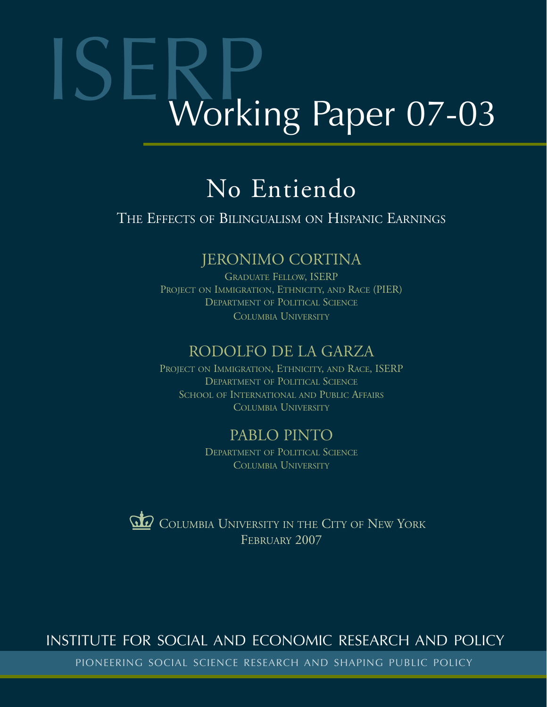# Working Paper 07-03

# No Entiendo

# THE EFFECTS OF BILINGUALISM ON HISPANIC EARNINGS

# JERONIMO CORTINA

GRADUATE FELLOW, ISERP PROJECT ON IMMIGRATION, ETHNICITY, AND RACE (PIER) DEPARTMENT OF POLITICAL SCIENCE COLUMBIA UNIVERSITY

# RODOLFO DE LA GARZA

PROJECT ON IMMIGRATION, ETHNICITY, AND RACE, ISERP DEPARTMENT OF POLITICAL SCIENCE SCHOOL OF INTERNATIONAL AND PUBLIC AFFAIRS COLUMBIA UNIVERSITY

# PABLO PINTO

DEPARTMENT OF POLITICAL SCIENCE COLUMBIA UNIVERSITY



# INSTITUTE FOR SOCIAL AND ECONOMIC RESEARCH AND POLICY

PIONEERING SOCIAL SCIENCE RESEARCH AND SHAPING PUBLIC POLICY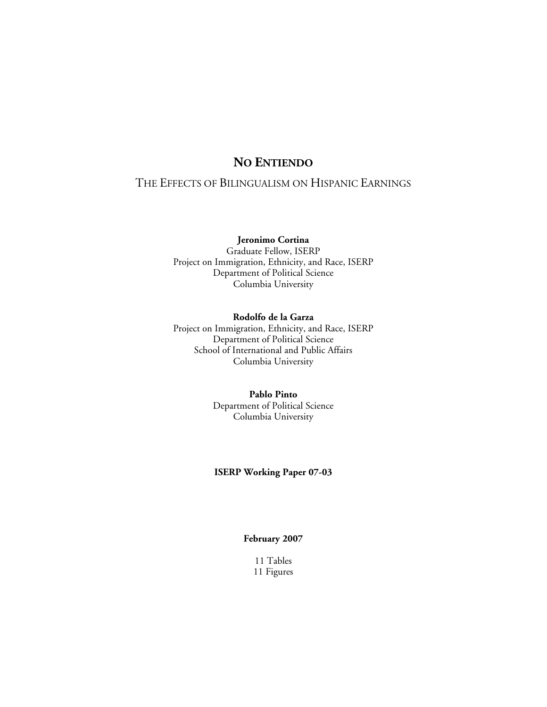### **NO ENTIENDO**

### THE EFFECTS OF BILINGUALISM ON HISPANIC EARNINGS

### **Jeronimo Cortina**

Graduate Fellow, ISERP Project on Immigration, Ethnicity, and Race, ISERP Department of Political Science Columbia University

### **Rodolfo de la Garza**

Project on Immigration, Ethnicity, and Race, ISERP Department of Political Science School of International and Public Affairs Columbia University

### **Pablo Pinto**  Department of Political Science Columbia University

### **ISERP Working Paper 07-03**

### **February 2007**

11 Tables 11 Figures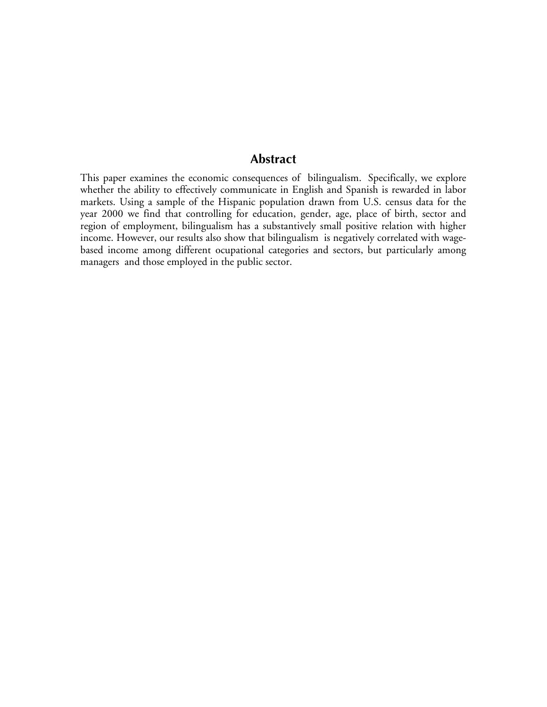### **Abstract**

This paper examines the economic consequences of bilingualism. Specifically, we explore whether the ability to effectively communicate in English and Spanish is rewarded in labor markets. Using a sample of the Hispanic population drawn from U.S. census data for the year 2000 we find that controlling for education, gender, age, place of birth, sector and region of employment, bilingualism has a substantively small positive relation with higher income. However, our results also show that bilingualism is negatively correlated with wagebased income among different ocupational categories and sectors, but particularly among managers and those employed in the public sector.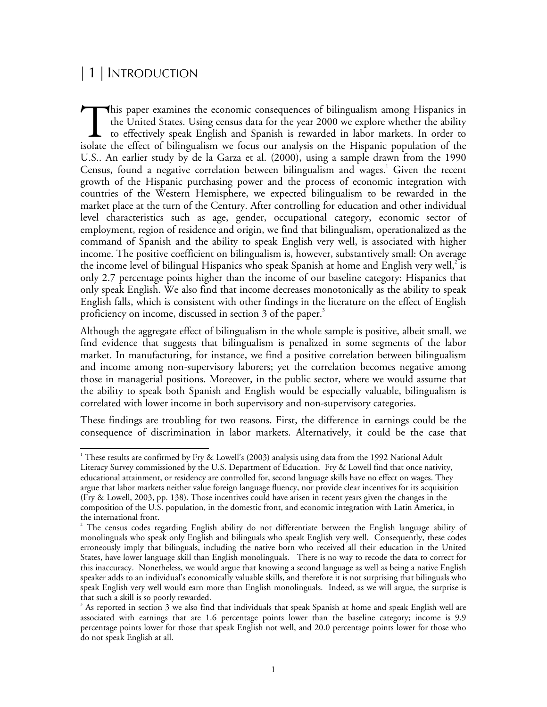# | 1 | INTRODUCTION

 $\overline{a}$ 

his paper examines the economic consequences of bilingualism among Hispanics in the United States. Using census data for the year 2000 we explore whether the ability to effectively speak English and Spanish is rewarded in labor markets. In order to isolate the effect of bilingualism we focus our analysis on the Hispanic population of the U.S.. An earlier study by de la Garza et al. (2000), using a sample drawn from the 1990 Census, found a negative correlation between bilingualism and wages.<sup>1</sup> Given the recent growth of the Hispanic purchasing power and the process of economic integration with countries of the Western Hemisphere, we expected bilingualism to be rewarded in the market place at the turn of the Century. After controlling for education and other individual level characteristics such as age, gender, occupational category, economic sector of employment, region of residence and origin, we find that bilingualism, operationalized as the command of Spanish and the ability to speak English very well, is associated with higher income. The positive coefficient on bilingualism is, however, substantively small: On average the income level of bilingual Hispanics who speak Spanish at home and English very well,<sup>2</sup> is only 2.7 percentage points higher than the income of our baseline category: Hispanics that only speak English. We also find that income decreases monotonically as the ability to speak English falls, which is consistent with other findings in the literature on the effect of English proficiency on income, discussed in section 3 of the paper.<sup>3</sup> This<br>the<br>isolate the

Although the aggregate effect of bilingualism in the whole sample is positive, albeit small, we find evidence that suggests that bilingualism is penalized in some segments of the labor market. In manufacturing, for instance, we find a positive correlation between bilingualism and income among non-supervisory laborers; yet the correlation becomes negative among those in managerial positions. Moreover, in the public sector, where we would assume that the ability to speak both Spanish and English would be especially valuable, bilingualism is correlated with lower income in both supervisory and non-supervisory categories.

These findings are troubling for two reasons. First, the difference in earnings could be the consequence of discrimination in labor markets. Alternatively, it could be the case that

 $^1$  These results are confirmed by Fry & Lowell's (2003) analysis using data from the 1992 National Adult Literacy Survey commissioned by the U.S. Department of Education. Fry & Lowell find that once nativity, educational attainment, or residency are controlled for, second language skills have no effect on wages. They argue that labor markets neither value foreign language fluency, nor provide clear incentives for its acquisition (Fry & Lowell, 2003, pp. 138). Those incentives could have arisen in recent years given the changes in the composition of the U.S. population, in the domestic front, and economic integration with Latin America, in the international front.

<sup>2</sup> The census codes regarding English ability do not differentiate between the English language ability of monolinguals who speak only English and bilinguals who speak English very well. Consequently, these codes erroneously imply that bilinguals, including the native born who received all their education in the United States, have lower language skill than English monolinguals. There is no way to recode the data to correct for this inaccuracy. Nonetheless, we would argue that knowing a second language as well as being a native English speaker adds to an individual's economically valuable skills, and therefore it is not surprising that bilinguals who speak English very well would earn more than English monolinguals. Indeed, as we will argue, the surprise is that such a skill is so poorly rewarded.

 $3$  As reported in section 3 we also find that individuals that speak Spanish at home and speak English well are associated with earnings that are 1.6 percentage points lower than the baseline category; income is 9.9 percentage points lower for those that speak English not well, and 20.0 percentage points lower for those who do not speak English at all.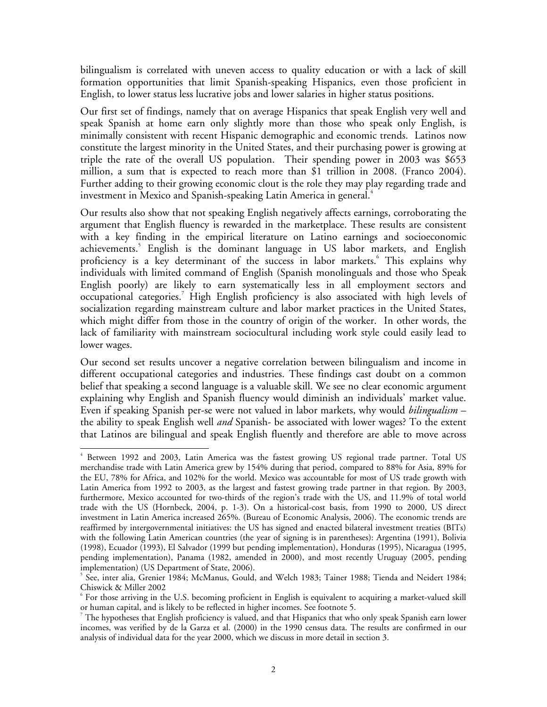bilingualism is correlated with uneven access to quality education or with a lack of skill formation opportunities that limit Spanish-speaking Hispanics, even those proficient in English, to lower status less lucrative jobs and lower salaries in higher status positions.

Our first set of findings, namely that on average Hispanics that speak English very well and speak Spanish at home earn only slightly more than those who speak only English, is minimally consistent with recent Hispanic demographic and economic trends. Latinos now constitute the largest minority in the United States, and their purchasing power is growing at triple the rate of the overall US population. Their spending power in 2003 was \$653 million, a sum that is expected to reach more than \$1 trillion in 2008. (Franco 2004). Further adding to their growing economic clout is the role they may play regarding trade and investment in Mexico and Spanish-speaking Latin America in general. $^4$ 

Our results also show that not speaking English negatively affects earnings, corroborating the argument that English fluency is rewarded in the marketplace. These results are consistent with a key finding in the empirical literature on Latino earnings and socioeconomic achievements.<sup>5</sup> English is the dominant language in US labor markets, and English proficiency is a key determinant of the success in labor markets.<sup>6</sup> This explains why individuals with limited command of English (Spanish monolinguals and those who Speak English poorly) are likely to earn systematically less in all employment sectors and occupational categories.<sup>7</sup> High English proficiency is also associated with high levels of socialization regarding mainstream culture and labor market practices in the United States, which might differ from those in the country of origin of the worker. In other words, the lack of familiarity with mainstream sociocultural including work style could easily lead to lower wages.

Our second set results uncover a negative correlation between bilingualism and income in different occupational categories and industries. These findings cast doubt on a common belief that speaking a second language is a valuable skill. We see no clear economic argument explaining why English and Spanish fluency would diminish an individuals' market value. Even if speaking Spanish per-se were not valued in labor markets, why would *bilingualism* – the ability to speak English well *and* Spanish- be associated with lower wages? To the extent that Latinos are bilingual and speak English fluently and therefore are able to move across

 $\overline{a}$ 4 Between 1992 and 2003, Latin America was the fastest growing US regional trade partner. Total US merchandise trade with Latin America grew by 154% during that period, compared to 88% for Asia, 89% for the EU, 78% for Africa, and 102% for the world. Mexico was accountable for most of US trade growth with Latin America from 1992 to 2003, as the largest and fastest growing trade partner in that region. By 2003, furthermore, Mexico accounted for two-thirds of the region's trade with the US, and 11.9% of total world trade with the US (Hornbeck, 2004, p. 1-3). On a historical-cost basis, from 1990 to 2000, US direct investment in Latin America increased 265%. (Bureau of Economic Analysis, 2006). The economic trends are reaffirmed by intergovernmental initiatives: the US has signed and enacted bilateral investment treaties (BITs) with the following Latin American countries (the year of signing is in parentheses): Argentina (1991), Bolivia (1998), Ecuador (1993), El Salvador (1999 but pending implementation), Honduras (1995), Nicaragua (1995, pending implementation), Panama (1982, amended in 2000), and most recently Uruguay (2005, pending implementation) (US Department of State, 2006).

<sup>5</sup> See, inter alia, Grenier 1984; McManus, Gould, and Welch 1983; Tainer 1988; Tienda and Neidert 1984; Chiswick & Miller 2002

<sup>6</sup> For those arriving in the U.S. becoming proficient in English is equivalent to acquiring a market-valued skill

or human capital, and is likely to be reflected in higher incomes. See footnote 5.<br><sup>7</sup> The hypotheses that English proficiency is valued, and that Hispanics that who only speak Spanish earn lower incomes, was verified by de la Garza et al. (2000) in the 1990 census data. The results are confirmed in our analysis of individual data for the year 2000, which we discuss in more detail in section 3.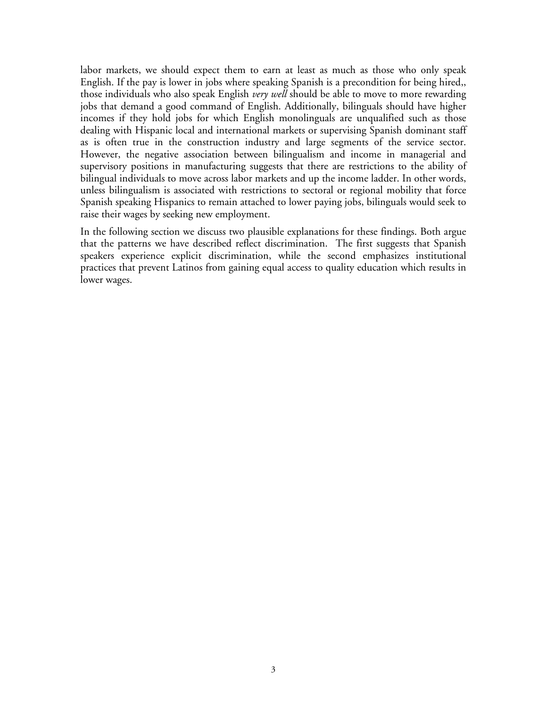labor markets, we should expect them to earn at least as much as those who only speak English. If the pay is lower in jobs where speaking Spanish is a precondition for being hired,, those individuals who also speak English *very well* should be able to move to more rewarding jobs that demand a good command of English. Additionally, bilinguals should have higher incomes if they hold jobs for which English monolinguals are unqualified such as those dealing with Hispanic local and international markets or supervising Spanish dominant staff as is often true in the construction industry and large segments of the service sector. However, the negative association between bilingualism and income in managerial and supervisory positions in manufacturing suggests that there are restrictions to the ability of bilingual individuals to move across labor markets and up the income ladder. In other words, unless bilingualism is associated with restrictions to sectoral or regional mobility that force Spanish speaking Hispanics to remain attached to lower paying jobs, bilinguals would seek to raise their wages by seeking new employment.

In the following section we discuss two plausible explanations for these findings. Both argue that the patterns we have described reflect discrimination. The first suggests that Spanish speakers experience explicit discrimination, while the second emphasizes institutional practices that prevent Latinos from gaining equal access to quality education which results in lower wages.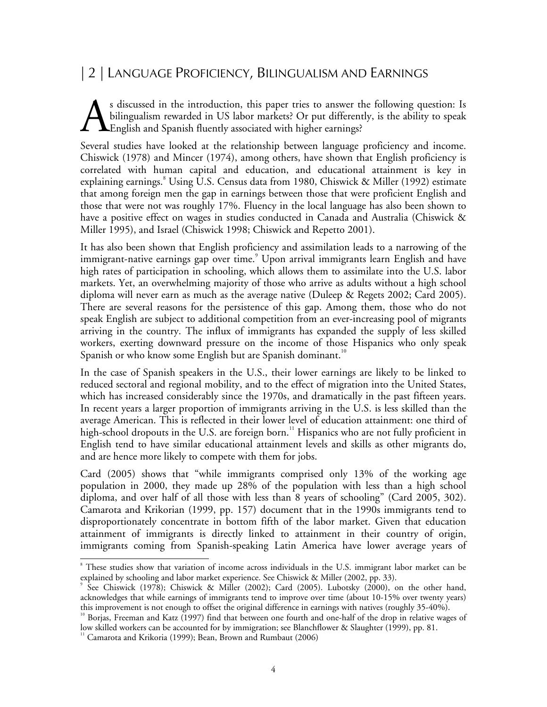# | 2 | LANGUAGE PROFICIENCY, BILINGUALISM AND EARNINGS

s discussed in the introduction, this paper tries to answer the following question: Is bilingualism rewarded in US labor markets? Or put differently, is the ability to speak English and Spanish fluently associated with higher earnings? A

Several studies have looked at the relationship between language proficiency and income. Chiswick (1978) and Mincer (1974), among others, have shown that English proficiency is correlated with human capital and education, and educational attainment is key in explaining earnings.<sup>8</sup> Using U.S. Census data from 1980, Chiswick & Miller (1992) estimate that among foreign men the gap in earnings between those that were proficient English and those that were not was roughly 17%. Fluency in the local language has also been shown to have a positive effect on wages in studies conducted in Canada and Australia (Chiswick & Miller 1995), and Israel (Chiswick 1998; Chiswick and Repetto 2001).

It has also been shown that English proficiency and assimilation leads to a narrowing of the immigrant-native earnings gap over time.<sup>9</sup> Upon arrival immigrants learn English and have high rates of participation in schooling, which allows them to assimilate into the U.S. labor markets. Yet, an overwhelming majority of those who arrive as adults without a high school diploma will never earn as much as the average native (Duleep & Regets 2002; Card 2005). There are several reasons for the persistence of this gap. Among them, those who do not speak English are subject to additional competition from an ever-increasing pool of migrants arriving in the country. The influx of immigrants has expanded the supply of less skilled workers, exerting downward pressure on the income of those Hispanics who only speak Spanish or who know some English but are Spanish dominant.<sup>10</sup>

In the case of Spanish speakers in the U.S., their lower earnings are likely to be linked to reduced sectoral and regional mobility, and to the effect of migration into the United States, which has increased considerably since the 1970s, and dramatically in the past fifteen years. In recent years a larger proportion of immigrants arriving in the U.S. is less skilled than the average American. This is reflected in their lower level of education attainment: one third of high-school dropouts in the U.S. are foreign born.<sup>11</sup> Hispanics who are not fully proficient in English tend to have similar educational attainment levels and skills as other migrants do, and are hence more likely to compete with them for jobs.

Card (2005) shows that "while immigrants comprised only 13% of the working age population in 2000, they made up 28% of the population with less than a high school diploma, and over half of all those with less than 8 years of schooling" (Card 2005, 302). Camarota and Krikorian (1999, pp. 157) document that in the 1990s immigrants tend to disproportionately concentrate in bottom fifth of the labor market. Given that education attainment of immigrants is directly linked to attainment in their country of origin, immigrants coming from Spanish-speaking Latin America have lower average years of

 $\overline{a}$ 

<sup>&</sup>lt;sup>8</sup> These studies show that variation of income across individuals in the U.S. immigrant labor market can be explained by schooling and labor market experience. See Chiswick & Miller (2002, pp. 33). 9

See Chiswick (1978); Chiswick & Miller (2002); Card (2005). Lubotsky (2000), on the other hand, acknowledges that while earnings of immigrants tend to improve over time (about 10-15% over twenty years) this improvement is not enough to offset the original difference in earnings with natives (roughly 35-40%).<br><sup>10</sup> Borjas, Freeman and Katz (1997) find that between one fourth and one-half of the drop in relative wages of

low skilled workers can be accounted for by immigration; see Blanchflower & Slaughter (1999), pp. 81.

 $11$  Camarota and Krikoria (1999); Bean, Brown and Rumbaut (2006)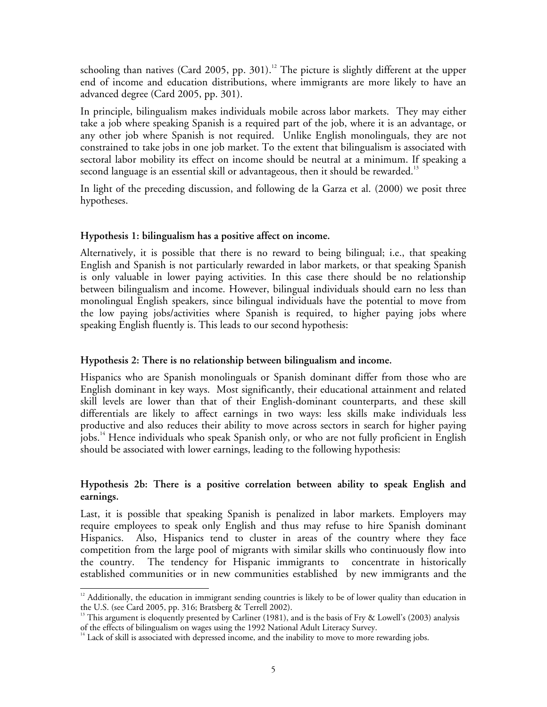schooling than natives (Card 2005, pp. 301).<sup>12</sup> The picture is slightly different at the upper end of income and education distributions, where immigrants are more likely to have an advanced degree (Card 2005, pp. 301).

In principle, bilingualism makes individuals mobile across labor markets. They may either take a job where speaking Spanish is a required part of the job, where it is an advantage, or any other job where Spanish is not required. Unlike English monolinguals, they are not constrained to take jobs in one job market. To the extent that bilingualism is associated with sectoral labor mobility its effect on income should be neutral at a minimum. If speaking a second language is an essential skill or advantageous, then it should be rewarded.<sup>13</sup>

In light of the preceding discussion, and following de la Garza et al. (2000) we posit three hypotheses.

### **Hypothesis 1: bilingualism has a positive affect on income.**

Alternatively, it is possible that there is no reward to being bilingual; i.e., that speaking English and Spanish is not particularly rewarded in labor markets, or that speaking Spanish is only valuable in lower paying activities. In this case there should be no relationship between bilingualism and income. However, bilingual individuals should earn no less than monolingual English speakers, since bilingual individuals have the potential to move from the low paying jobs/activities where Spanish is required, to higher paying jobs where speaking English fluently is. This leads to our second hypothesis:

### **Hypothesis 2: There is no relationship between bilingualism and income.**

Hispanics who are Spanish monolinguals or Spanish dominant differ from those who are English dominant in key ways. Most significantly, their educational attainment and related skill levels are lower than that of their English-dominant counterparts, and these skill differentials are likely to affect earnings in two ways: less skills make individuals less productive and also reduces their ability to move across sectors in search for higher paying jobs.<sup>14</sup> Hence individuals who speak Spanish only, or who are not fully proficient in English should be associated with lower earnings, leading to the following hypothesis:

### **Hypothesis 2b: There is a positive correlation between ability to speak English and earnings.**

Last, it is possible that speaking Spanish is penalized in labor markets. Employers may require employees to speak only English and thus may refuse to hire Spanish dominant Hispanics. Also, Hispanics tend to cluster in areas of the country where they face competition from the large pool of migrants with similar skills who continuously flow into the country. The tendency for Hispanic immigrants to concentrate in historically established communities or in new communities established by new immigrants and the

 $\overline{a}$ 

<sup>&</sup>lt;sup>12</sup> Additionally, the education in immigrant sending countries is likely to be of lower quality than education in the U.S. (see Card 2005, pp. 316; Bratsberg & Terrell 2002).

 $^{13}$  This argument is eloquently presented by Carliner (1981), and is the basis of Fry & Lowell's (2003) analysis of the effects of bilingualism on wages using the 1992 National Adult Literacy Survey.<br><sup>14</sup> Lack of skill is associated with depressed income, and the inability to move to more rewarding jobs.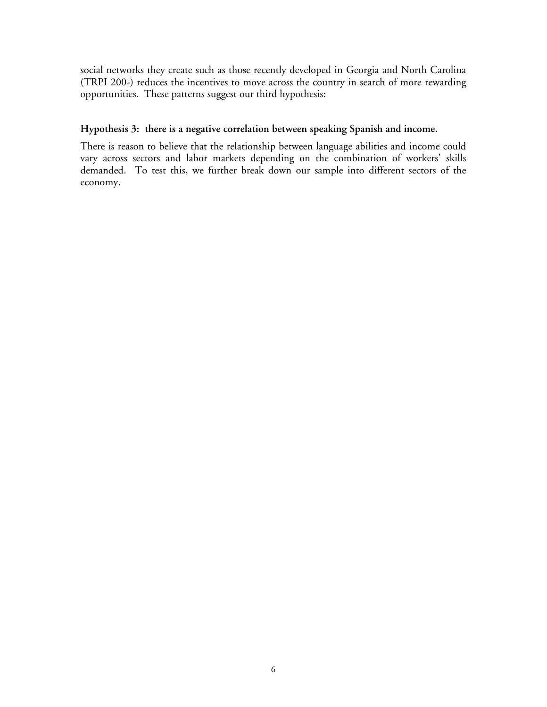social networks they create such as those recently developed in Georgia and North Carolina (TRPI 200-) reduces the incentives to move across the country in search of more rewarding opportunities. These patterns suggest our third hypothesis:

### **Hypothesis 3: there is a negative correlation between speaking Spanish and income.**

There is reason to believe that the relationship between language abilities and income could vary across sectors and labor markets depending on the combination of workers' skills demanded. To test this, we further break down our sample into different sectors of the economy.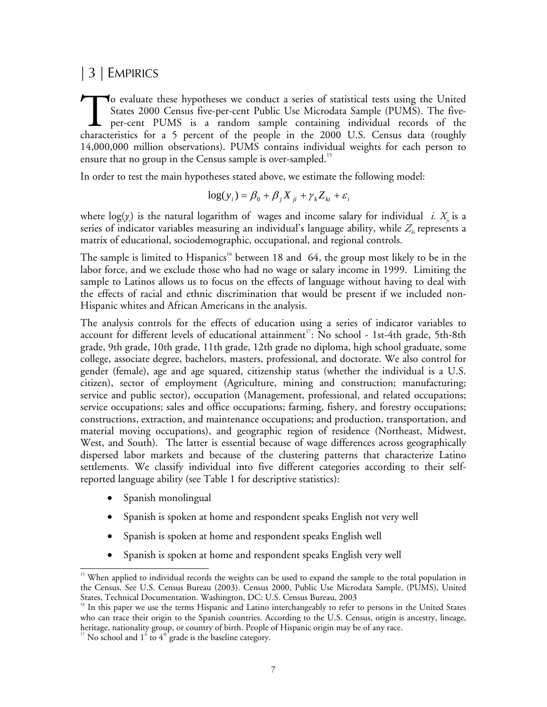# | 3 | EMPIRICS

o evaluate these hypotheses we conduct a series of statistical tests using the United States 2000 Census five-per-cent Public Use Microdata Sample (PUMS). The fiveper-cent PUMS is a random sample containing individual records of the To evaluate these hypotheses we conduct a series of statistical tests using the United<br>States 2000 Census five-per-cent Public Use Microdata Sample (PUMS). The five-<br>per-cent PUMS is a random sample containing individual r 14,000,000 million observations). PUMS contains individual weights for each person to ensure that no group in the Census sample is over-sampled.<sup>15</sup>

In order to test the main hypotheses stated above, we estimate the following model:

$$
\log(y_i) = \beta_0 + \beta_j X_{ji} + \gamma_k Z_{ki} + \varepsilon_i
$$

where  $\log(y_i)$  is the natural logarithm of wages and income salary for individual *i.*  $X_{\!\scriptscriptstyle j_i}$  is a series of indicator variables measuring an individual's language ability, while  $Z_{\mu}$  represents a matrix of educational, sociodemographic, occupational, and regional controls.

The sample is limited to Hispanics<sup>16</sup> between 18 and 64, the group most likely to be in the labor force, and we exclude those who had no wage or salary income in 1999. Limiting the sample to Latinos allows us to focus on the effects of language without having to deal with the effects of racial and ethnic discrimination that would be present if we included non-Hispanic whites and African Americans in the analysis.

The analysis controls for the effects of education using a series of indicator variables to account for different levels of educational attainment<sup>17</sup>: No school - 1st-4th grade, 5th-8th grade, 9th grade, 10th grade, 11th grade, 12th grade no diploma, high school graduate, some college, associate degree, bachelors, masters, professional, and doctorate. We also control for gender (female), age and age squared, citizenship status (whether the individual is a U.S. citizen), sector of employment (Agriculture, mining and construction; manufacturing; service and public sector), occupation (Management, professional, and related occupations; service occupations; sales and office occupations; farming, fishery, and forestry occupations; constructions, extraction, and maintenance occupations; and production, transportation, and material moving occupations), and geographic region of residence (Northeast, Midwest, West, and South). The latter is essential because of wage differences across geographically dispersed labor markets and because of the clustering patterns that characterize Latino settlements. We classify individual into five different categories according to their selfreported language ability (see Table 1 for descriptive statistics):

• Spanish monolingual

 $\overline{a}$ 

- Spanish is spoken at home and respondent speaks English not very well
- Spanish is spoken at home and respondent speaks English well
- Spanish is spoken at home and respondent speaks English very well

<sup>&</sup>lt;sup>15</sup> When applied to individual records the weights can be used to expand the sample to the total population in the Census. See U.S. Census Bureau (2003). Census 2000, Public Use Microdata Sample, (PUMS), United States, Technical Documentation. Washington, DC: U.S. Census Bureau, 2003

<sup>&</sup>lt;sup>16</sup> In this paper we use the terms Hispanic and Latino interchangeably to refer to persons in the United States who can trace their origin to the Spanish countries. According to the U.S. Census, origin is ancestry, lineage, heritage, nationality group, or country of birth. People of Hispanic origin may be of any race.<br><sup>17</sup> No school and 1<sup>st</sup> to 4<sup>th</sup> grade is the baseline category.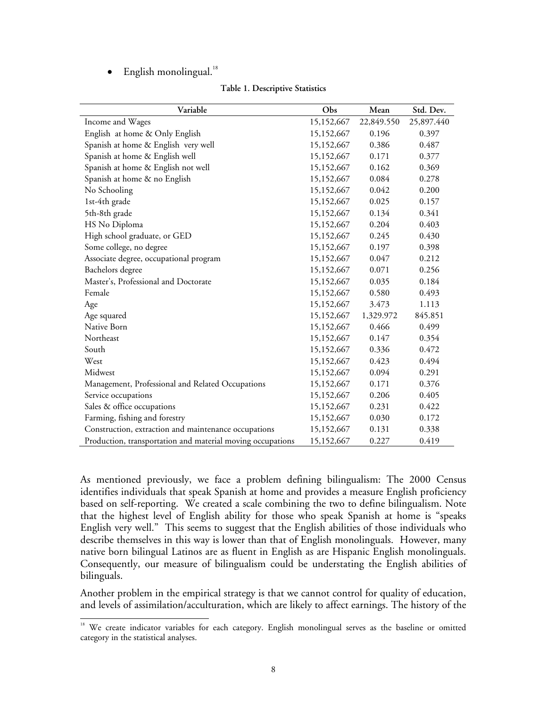$\bullet$  English monolingual.<sup>18</sup>

| Variable                                                   | Obs        | Mean       | Std. Dev.  |
|------------------------------------------------------------|------------|------------|------------|
| Income and Wages                                           | 15,152,667 | 22,849.550 | 25,897.440 |
| English at home & Only English                             | 15,152,667 | 0.196      | 0.397      |
| Spanish at home & English very well                        | 15,152,667 | 0.386      | 0.487      |
| Spanish at home & English well                             | 15,152,667 | 0.171      | 0.377      |
| Spanish at home & English not well                         | 15,152,667 | 0.162      | 0.369      |
| Spanish at home & no English                               | 15,152,667 | 0.084      | 0.278      |
| No Schooling                                               | 15,152,667 | 0.042      | 0.200      |
| 1st-4th grade                                              | 15,152,667 | 0.025      | 0.157      |
| 5th-8th grade                                              | 15,152,667 | 0.134      | 0.341      |
| HS No Diploma                                              | 15,152,667 | 0.204      | 0.403      |
| High school graduate, or GED                               | 15,152,667 | 0.245      | 0.430      |
| Some college, no degree                                    | 15,152,667 | 0.197      | 0.398      |
| Associate degree, occupational program                     | 15,152,667 | 0.047      | 0.212      |
| Bachelors degree                                           | 15,152,667 | 0.071      | 0.256      |
| Master's, Professional and Doctorate                       | 15,152,667 | 0.035      | 0.184      |
| Female                                                     | 15,152,667 | 0.580      | 0.493      |
| Age                                                        | 15,152,667 | 3.473      | 1.113      |
| Age squared                                                | 15,152,667 | 1,329.972  | 845.851    |
| Native Born                                                | 15,152,667 | 0.466      | 0.499      |
| Northeast                                                  | 15,152,667 | 0.147      | 0.354      |
| South                                                      | 15,152,667 | 0.336      | 0.472      |
| West                                                       | 15,152,667 | 0.423      | 0.494      |
| Midwest                                                    | 15,152,667 | 0.094      | 0.291      |
| Management, Professional and Related Occupations           | 15,152,667 | 0.171      | 0.376      |
| Service occupations                                        | 15,152,667 | 0.206      | 0.405      |
| Sales & office occupations                                 | 15,152,667 | 0.231      | 0.422      |
| Farming, fishing and forestry                              | 15,152,667 | 0.030      | 0.172      |
| Construction, extraction and maintenance occupations       | 15,152,667 | 0.131      | 0.338      |
| Production, transportation and material moving occupations | 15,152,667 | 0.227      | 0.419      |

**Table 1. Descriptive Statistics** 

As mentioned previously, we face a problem defining bilingualism: The 2000 Census identifies individuals that speak Spanish at home and provides a measure English proficiency based on self-reporting. We created a scale combining the two to define bilingualism. Note that the highest level of English ability for those who speak Spanish at home is "speaks English very well." This seems to suggest that the English abilities of those individuals who describe themselves in this way is lower than that of English monolinguals. However, many native born bilingual Latinos are as fluent in English as are Hispanic English monolinguals. Consequently, our measure of bilingualism could be understating the English abilities of bilinguals.

Another problem in the empirical strategy is that we cannot control for quality of education, and levels of assimilation/acculturation, which are likely to affect earnings. The history of the

 $\overline{a}$ <sup>18</sup> We create indicator variables for each category. English monolingual serves as the baseline or omitted category in the statistical analyses.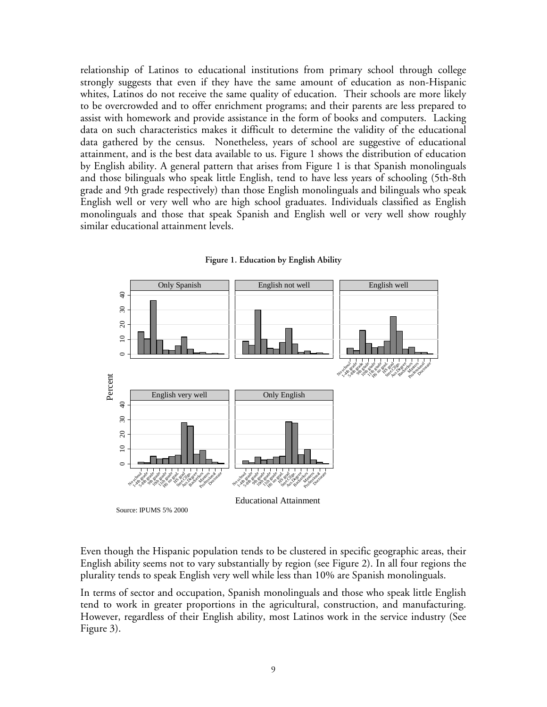relationship of Latinos to educational institutions from primary school through college strongly suggests that even if they have the same amount of education as non-Hispanic whites, Latinos do not receive the same quality of education. Their schools are more likely to be overcrowded and to offer enrichment programs; and their parents are less prepared to assist with homework and provide assistance in the form of books and computers. Lacking data on such characteristics makes it difficult to determine the validity of the educational data gathered by the census. Nonetheless, years of school are suggestive of educational attainment, and is the best data available to us. Figure 1 shows the distribution of education by English ability. A general pattern that arises from Figure 1 is that Spanish monolinguals and those bilinguals who speak little English, tend to have less years of schooling (5th-8th grade and 9th grade respectively) than those English monolinguals and bilinguals who speak English well or very well who are high school graduates. Individuals classified as English monolinguals and those that speak Spanish and English well or very well show roughly similar educational attainment levels.



**Figure 1. Education by English Ability** 

Even though the Hispanic population tends to be clustered in specific geographic areas, their English ability seems not to vary substantially by region (see Figure 2). In all four regions the plurality tends to speak English very well while less than 10% are Spanish monolinguals.

In terms of sector and occupation, Spanish monolinguals and those who speak little English tend to work in greater proportions in the agricultural, construction, and manufacturing. However, regardless of their English ability, most Latinos work in the service industry (See Figure 3).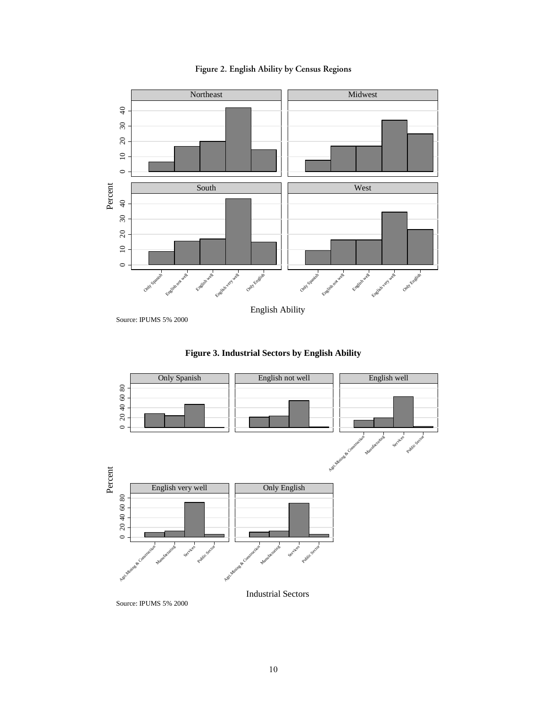



Source: IPUMS 5% 2000





Source: IPUMS 5% 2000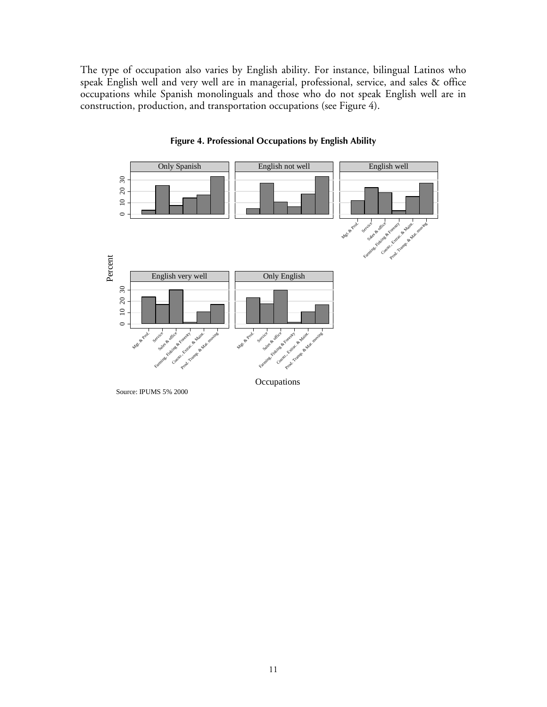The type of occupation also varies by English ability. For instance, bilingual Latinos who speak English well and very well are in managerial, professional, service, and sales & office occupations while Spanish monolinguals and those who do not speak English well are in construction, production, and transportation occupations (see Figure 4).



### **Figure 4. Professional Occupations by English Ability**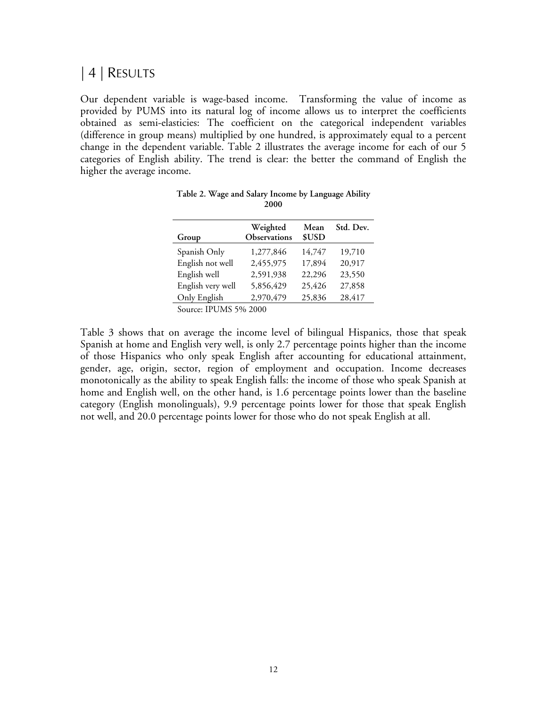# | 4 | RESULTS

Our dependent variable is wage-based income. Transforming the value of income as provided by PUMS into its natural log of income allows us to interpret the coefficients obtained as semi-elasticies: The coefficient on the categorical independent variables (difference in group means) multiplied by one hundred, is approximately equal to a percent change in the dependent variable. Table 2 illustrates the average income for each of our 5 categories of English ability. The trend is clear: the better the command of English the higher the average income.

| Group             | Weighted<br>Observations | Mean<br>\$USD | Std. Dev. |
|-------------------|--------------------------|---------------|-----------|
| Spanish Only      | 1,277,846                | 14,747        | 19,710    |
| English not well  | 2,455,975                | 17,894        | 20,917    |
| English well      | 2,591,938                | 22,296        | 23,550    |
| English very well | 5,856,429                | 25,426        | 27,858    |
| Only English      | 2,970,479                | 25,836        | 28,417    |
| $\sim$            |                          |               |           |

| Table 2. Wage and Salary Income by Language Ability |  |
|-----------------------------------------------------|--|
| 2000                                                |  |

Source: IPUMS 5% 2000

Table 3 shows that on average the income level of bilingual Hispanics, those that speak Spanish at home and English very well, is only 2.7 percentage points higher than the income of those Hispanics who only speak English after accounting for educational attainment, gender, age, origin, sector, region of employment and occupation. Income decreases monotonically as the ability to speak English falls: the income of those who speak Spanish at home and English well, on the other hand, is 1.6 percentage points lower than the baseline category (English monolinguals), 9.9 percentage points lower for those that speak English not well, and 20.0 percentage points lower for those who do not speak English at all.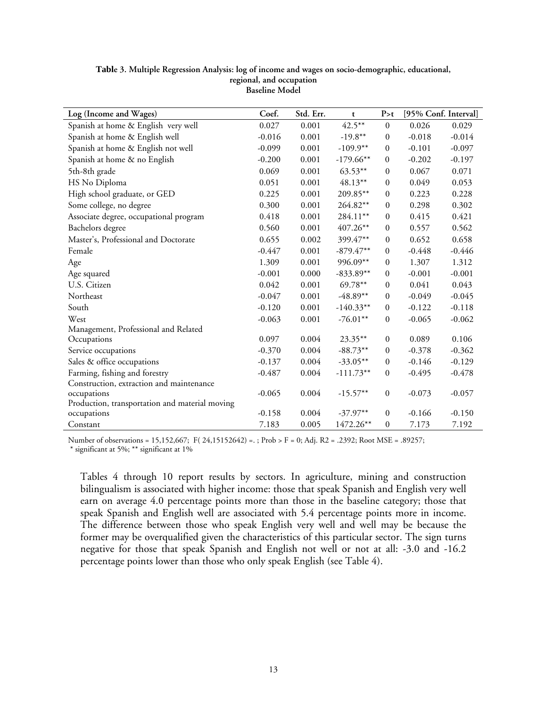| Log (Income and Wages)                         | Coef.    | Std. Err. | t           | P > t            |          | [95% Conf. Interval] |
|------------------------------------------------|----------|-----------|-------------|------------------|----------|----------------------|
| Spanish at home & English very well            | 0.027    | 0.001     | $42.5***$   | $\theta$         | 0.026    | 0.029                |
| Spanish at home & English well                 | $-0.016$ | 0.001     | $-19.8**$   | $\boldsymbol{0}$ | $-0.018$ | $-0.014$             |
| Spanish at home & English not well             | $-0.099$ | 0.001     | $-109.9**$  | $\boldsymbol{0}$ | $-0.101$ | $-0.097$             |
| Spanish at home & no English                   | $-0.200$ | 0.001     | $-179.66**$ | $\mathbf{0}$     | $-0.202$ | $-0.197$             |
| 5th-8th grade                                  | 0.069    | 0.001     | $63.53***$  | $\mathbf{0}$     | 0.067    | 0.071                |
| HS No Diploma                                  | 0.051    | 0.001     | 48.13**     | $\boldsymbol{0}$ | 0.049    | 0.053                |
| High school graduate, or GED                   | 0.225    | 0.001     | 209.85**    | $\overline{0}$   | 0.223    | 0.228                |
| Some college, no degree                        | 0.300    | 0.001     | 264.82**    | $\overline{0}$   | 0.298    | 0.302                |
| Associate degree, occupational program         | 0.418    | 0.001     | 284.11**    | $\boldsymbol{0}$ | 0.415    | 0.421                |
| Bachelors degree                               | 0.560    | 0.001     | 407.26**    | $\mathbf{0}$     | 0.557    | 0.562                |
| Master's, Professional and Doctorate           | 0.655    | 0.002     | 399.47**    | $\theta$         | 0.652    | 0.658                |
| Female                                         | $-0.447$ | 0.001     | $-879.47**$ | $\mathbf{0}$     | $-0.448$ | $-0.446$             |
| Age                                            | 1.309    | 0.001     | 996.09**    | $\mathbf{0}$     | 1.307    | 1.312                |
| Age squared                                    | $-0.001$ | 0.000     | $-833.89**$ | $\mathbf{0}$     | $-0.001$ | $-0.001$             |
| U.S. Citizen                                   | 0.042    | 0.001     | 69.78**     | $\mathbf{0}$     | 0.041    | 0.043                |
| Northeast                                      | $-0.047$ | 0.001     | $-48.89**$  | $\boldsymbol{0}$ | $-0.049$ | $-0.045$             |
| South                                          | $-0.120$ | 0.001     | $-140.33**$ | $\boldsymbol{0}$ | $-0.122$ | $-0.118$             |
| West                                           | $-0.063$ | 0.001     | $-76.01**$  | $\mathbf{0}$     | $-0.065$ | $-0.062$             |
| Management, Professional and Related           |          |           |             |                  |          |                      |
| Occupations                                    | 0.097    | 0.004     | 23.35**     | $\mathbf{0}$     | 0.089    | 0.106                |
| Service occupations                            | $-0.370$ | 0.004     | $-88.73**$  | $\mathbf{0}$     | $-0.378$ | $-0.362$             |
| Sales & office occupations                     | $-0.137$ | 0.004     | $-33.05**$  | $\boldsymbol{0}$ | $-0.146$ | $-0.129$             |
| Farming, fishing and forestry                  | $-0.487$ | 0.004     | $-111.73**$ | $\boldsymbol{0}$ | $-0.495$ | $-0.478$             |
| Construction, extraction and maintenance       |          |           |             |                  |          |                      |
| occupations                                    | $-0.065$ | 0.004     | $-15.57**$  | $\boldsymbol{0}$ | $-0.073$ | $-0.057$             |
| Production, transportation and material moving |          | 0.004     | $-37.97**$  | $\mathbf{0}$     |          |                      |
| occupations                                    | $-0.158$ |           |             |                  | $-0.166$ | $-0.150$             |
| Constant                                       | 7.183    | 0.005     | 1472.26**   | $\boldsymbol{0}$ | 7.173    | 7.192                |

**Table 3. Multiple Regression Analysis: log of income and wages on socio-demographic, educational, regional, and occupation Baseline Model** 

Number of observations = 15,152,667; F( 24,15152642) =. ; Prob > F = 0; Adj. R2 = .2392; Root MSE = .89257; \* significant at 5%; \*\* significant at 1%

Tables 4 through 10 report results by sectors. In agriculture, mining and construction bilingualism is associated with higher income: those that speak Spanish and English very well earn on average 4.0 percentage points more than those in the baseline category; those that speak Spanish and English well are associated with 5.4 percentage points more in income. The difference between those who speak English very well and well may be because the former may be overqualified given the characteristics of this particular sector. The sign turns negative for those that speak Spanish and English not well or not at all: -3.0 and -16.2 percentage points lower than those who only speak English (see Table 4).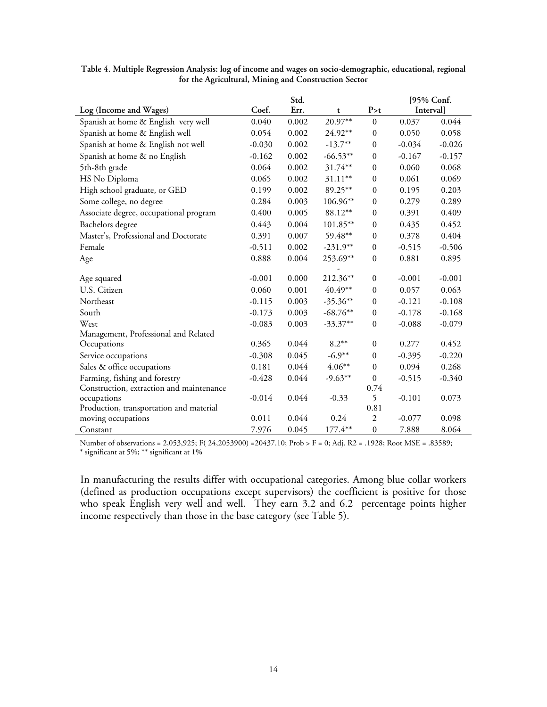|                                          |          | Std.  |            |                  | [95% Conf. |          |
|------------------------------------------|----------|-------|------------|------------------|------------|----------|
| Log (Income and Wages)                   | Coef.    | Err.  | t          | P > t            | Interval]  |          |
| Spanish at home & English very well      | 0.040    | 0.002 | 20.97**    | $\mathbf{0}$     | 0.037      | 0.044    |
| Spanish at home & English well           | 0.054    | 0.002 | 24.92**    | $\boldsymbol{0}$ | 0.050      | 0.058    |
| Spanish at home & English not well       | $-0.030$ | 0.002 | $-13.7**$  | $\mathbf{0}$     | $-0.034$   | $-0.026$ |
| Spanish at home & no English             | $-0.162$ | 0.002 | $-66.53**$ | $\mathbf{0}$     | $-0.167$   | $-0.157$ |
| 5th-8th grade                            | 0.064    | 0.002 | 31.74**    | $\boldsymbol{0}$ | 0.060      | 0.068    |
| HS No Diploma                            | 0.065    | 0.002 | 31.11**    | $\boldsymbol{0}$ | 0.061      | 0.069    |
| High school graduate, or GED             | 0.199    | 0.002 | 89.25**    | $\boldsymbol{0}$ | 0.195      | 0.203    |
| Some college, no degree                  | 0.284    | 0.003 | 106.96**   | $\mathbf{0}$     | 0.279      | 0.289    |
| Associate degree, occupational program   | 0.400    | 0.005 | 88.12**    | $\mathbf{0}$     | 0.391      | 0.409    |
| Bachelors degree                         | 0.443    | 0.004 | 101.85**   | $\boldsymbol{0}$ | 0.435      | 0.452    |
| Master's, Professional and Doctorate     | 0.391    | 0.007 | 59.48**    | $\boldsymbol{0}$ | 0.378      | 0.404    |
| Female                                   | $-0.511$ | 0.002 | $-231.9**$ | $\boldsymbol{0}$ | $-0.515$   | $-0.506$ |
| Age                                      | 0.888    | 0.004 | 253.69**   | $\boldsymbol{0}$ | 0.881      | 0.895    |
|                                          |          |       |            |                  |            |          |
| Age squared                              | $-0.001$ | 0.000 | 212.36**   | $\mathbf{0}$     | $-0.001$   | $-0.001$ |
| U.S. Citizen                             | 0.060    | 0.001 | 40.49**    | $\boldsymbol{0}$ | 0.057      | 0.063    |
| Northeast                                | $-0.115$ | 0.003 | $-35.36**$ | $\boldsymbol{0}$ | $-0.121$   | $-0.108$ |
| South                                    | $-0.173$ | 0.003 | $-68.76**$ | $\boldsymbol{0}$ | $-0.178$   | $-0.168$ |
| West                                     | $-0.083$ | 0.003 | $-33.37**$ | $\mathbf{0}$     | $-0.088$   | $-0.079$ |
| Management, Professional and Related     |          |       |            |                  |            |          |
| Occupations                              | 0.365    | 0.044 | $8.2**$    | $\mathbf{0}$     | 0.277      | 0.452    |
| Service occupations                      | $-0.308$ | 0.045 | $-6.9**$   | $\boldsymbol{0}$ | $-0.395$   | $-0.220$ |
| Sales & office occupations               | 0.181    | 0.044 | $4.06**$   | $\boldsymbol{0}$ | 0.094      | 0.268    |
| Farming, fishing and forestry            | $-0.428$ | 0.044 | $-9.63**$  | $\boldsymbol{0}$ | $-0.515$   | $-0.340$ |
| Construction, extraction and maintenance |          |       |            | 0.74             |            |          |
| occupations                              | $-0.014$ | 0.044 | $-0.33$    | 5                | $-0.101$   | 0.073    |
| Production, transportation and material  |          |       |            | 0.81             |            |          |
| moving occupations                       | 0.011    | 0.044 | 0.24       | $\overline{2}$   | $-0.077$   | 0.098    |
| Constant                                 | 7.976    | 0.045 | 177.4**    | $\boldsymbol{0}$ | 7.888      | 8.064    |

**Table 4. Multiple Regression Analysis: log of income and wages on socio-demographic, educational, regional for the Agricultural, Mining and Construction Sector** 

Number of observations = 2,053,925; F( 24,2053900) =20437.10; Prob > F = 0; Adj. R2 = .1928; Root MSE = .83589; \* significant at 5%; \*\* significant at 1%

In manufacturing the results differ with occupational categories. Among blue collar workers (defined as production occupations except supervisors) the coefficient is positive for those who speak English very well and well. They earn 3.2 and 6.2 percentage points higher income respectively than those in the base category (see Table 5).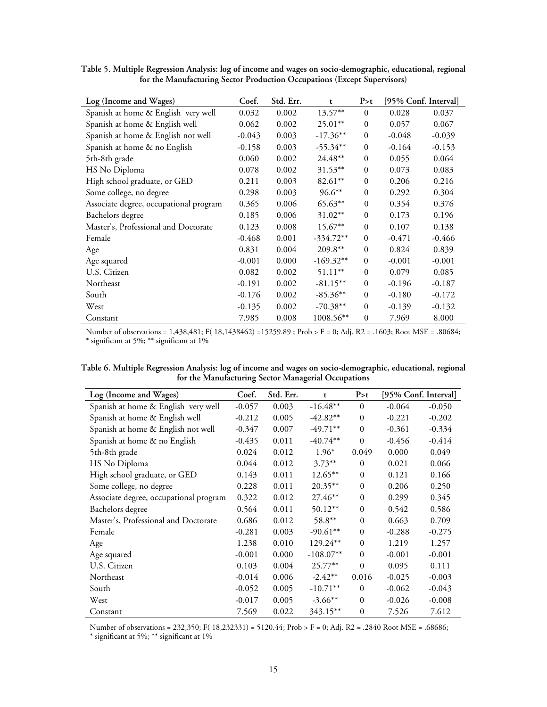| Log (Income and Wages)                 | Coef.    | Std. Err. | t           | P > t          |          | [95% Conf. Interval] |
|----------------------------------------|----------|-----------|-------------|----------------|----------|----------------------|
|                                        |          |           |             |                |          |                      |
| Spanish at home & English very well    | 0.032    | 0.002     | $13.57**$   | $\Omega$       | 0.028    | 0.037                |
| Spanish at home & English well         | 0.062    | 0.002     | $25.01**$   | $\theta$       | 0.057    | 0.067                |
| Spanish at home & English not well     | $-0.043$ | 0.003     | $-17.36**$  | $\mathbf{0}$   | $-0.048$ | $-0.039$             |
| Spanish at home & no English           | $-0.158$ | 0.003     | $-55.34**$  | $\overline{0}$ | $-0.164$ | $-0.153$             |
| 5th-8th grade                          | 0.060    | 0.002     | $24.48**$   | $\overline{0}$ | 0.055    | 0.064                |
| HS No Diploma                          | 0.078    | 0.002     | $31.53***$  | $\theta$       | 0.073    | 0.083                |
| High school graduate, or GED           | 0.211    | 0.003     | $82.61**$   | $\theta$       | 0.206    | 0.216                |
| Some college, no degree                | 0.298    | 0.003     | $96.6***$   | $\theta$       | 0.292    | 0.304                |
| Associate degree, occupational program | 0.365    | 0.006     | 65.63**     | $\mathbf{0}$   | 0.354    | 0.376                |
| Bachelors degree                       | 0.185    | 0.006     | $31.02**$   | $\mathbf{0}$   | 0.173    | 0.196                |
| Master's, Professional and Doctorate   | 0.123    | 0.008     | $15.67***$  | $\theta$       | 0.107    | 0.138                |
| Female                                 | $-0.468$ | 0.001     | $-334.72**$ | $\mathbf{0}$   | $-0.471$ | $-0.466$             |
| Age                                    | 0.831    | 0.004     | 209.8**     | $\theta$       | 0.824    | 0.839                |
| Age squared                            | $-0.001$ | 0.000     | $-169.32**$ | $\theta$       | $-0.001$ | $-0.001$             |
| U.S. Citizen                           | 0.082    | 0.002     | $51.11**$   | $\theta$       | 0.079    | 0.085                |
| Northeast                              | $-0.191$ | 0.002     | $-81.15***$ | $\mathbf{0}$   | $-0.196$ | $-0.187$             |
| South                                  | $-0.176$ | 0.002     | $-85.36**$  | $\mathbf{0}$   | $-0.180$ | $-0.172$             |
| West                                   | $-0.135$ | 0.002     | $-70.38**$  | $\mathbf{0}$   | $-0.139$ | $-0.132$             |
| Constant                               | 7.985    | 0.008     | 1008.56**   | $\mathbf{0}$   | 7.969    | 8.000                |

**Table 5. Multiple Regression Analysis: log of income and wages on socio-demographic, educational, regional for the Manufacturing Sector Production Occupations (Except Supervisors)** 

Number of observations = 1,438,481; F( 18,1438462) =15259.89 ; Prob > F = 0; Adj. R2 = .1603; Root MSE = .80684; \* significant at 5%; \*\* significant at 1%

| Table 6. Multiple Regression Analysis: log of income and wages on socio-demographic, educational, regional |  |  |  |
|------------------------------------------------------------------------------------------------------------|--|--|--|
| for the Manufacturing Sector Managerial Occupations                                                        |  |  |  |

| Log (Income and Wages)                 | Coef.    | Std. Err. | t           | P > t        | [95% Conf. Interval] |          |
|----------------------------------------|----------|-----------|-------------|--------------|----------------------|----------|
| Spanish at home & English very well    | $-0.057$ | 0.003     | $-16.48**$  | $\theta$     | $-0.064$             | $-0.050$ |
| Spanish at home & English well         | $-0.212$ | 0.005     | $-42.82**$  | $\mathbf{0}$ | $-0.221$             | $-0.202$ |
| Spanish at home & English not well     | $-0.347$ | 0.007     | $-49.71**$  | $\mathbf{0}$ | $-0.361$             | $-0.334$ |
| Spanish at home & no English           | $-0.435$ | 0.011     | $-40.74**$  | $\theta$     | $-0.456$             | $-0.414$ |
| 5th-8th grade                          | 0.024    | 0.012     | $1.96*$     | 0.049        | 0.000                | 0.049    |
| HS No Diploma                          | 0.044    | 0.012     | $3.73***$   | $\Omega$     | 0.021                | 0.066    |
| High school graduate, or GED           | 0.143    | 0.011     | $12.65***$  | $\theta$     | 0.121                | 0.166    |
| Some college, no degree                | 0.228    | 0.011     | $20.35***$  | $\mathbf{0}$ | 0.206                | 0.250    |
| Associate degree, occupational program | 0.322    | 0.012     | 27.46**     | $\mathbf{0}$ | 0.299                | 0.345    |
| Bachelors degree                       | 0.564    | 0.011     | $50.12**$   | $\mathbf{0}$ | 0.542                | 0.586    |
| Master's, Professional and Doctorate   | 0.686    | 0.012     | 58.8**      | $\mathbf{0}$ | 0.663                | 0.709    |
| Female                                 | $-0.281$ | 0.003     | $-90.61**$  | $\Omega$     | $-0.288$             | $-0.275$ |
| Age                                    | 1.238    | 0.010     | 129.24**    | $\theta$     | 1.219                | 1.257    |
| Age squared                            | $-0.001$ | 0.000     | $-108.07**$ | $\Omega$     | $-0.001$             | $-0.001$ |
| U.S. Citizen                           | 0.103    | 0.004     | $25.77***$  | $\Omega$     | 0.095                | 0.111    |
| Northeast                              | $-0.014$ | 0.006     | $-2.42**$   | 0.016        | $-0.025$             | $-0.003$ |
| South                                  | $-0.052$ | 0.005     | $-10.71**$  | $\mathbf{0}$ | $-0.062$             | $-0.043$ |
| West                                   | $-0.017$ | 0.005     | $-3.66**$   | $\Omega$     | $-0.026$             | $-0.008$ |
| Constant                               | 7.569    | 0.022     | 343.15**    | $\mathbf{0}$ | 7.526                | 7.612    |

Number of observations = 232,350; F( 18,232331) = 5120.44; Prob > F = 0; Adj. R2 = .2840 Root MSE = .68686;

 $^{\ast}$  significant at 5%;  $^{\ast\ast}$  significant at 1%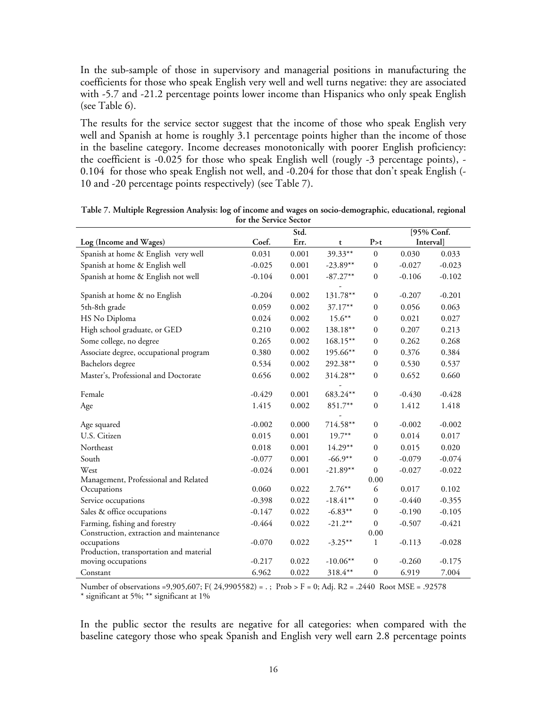In the sub-sample of those in supervisory and managerial positions in manufacturing the coefficients for those who speak English very well and well turns negative: they are associated with -5.7 and -21.2 percentage points lower income than Hispanics who only speak English (see Table 6).

The results for the service sector suggest that the income of those who speak English very well and Spanish at home is roughly 3.1 percentage points higher than the income of those in the baseline category. Income decreases monotonically with poorer English proficiency: the coefficient is -0.025 for those who speak English well (rougly -3 percentage points), - 0.104 for those who speak English not well, and -0.204 for those that don't speak English (- 10 and -20 percentage points respectively) (see Table 7).

|                                          |          | Std.  |            |                  | [95% Conf.      |          |
|------------------------------------------|----------|-------|------------|------------------|-----------------|----------|
| Log (Income and Wages)                   | Coef.    | Err.  | t          | P > t            | <b>Interval</b> |          |
| Spanish at home & English very well      | 0.031    | 0.001 | 39.33**    | $\boldsymbol{0}$ | 0.030           | 0.033    |
| Spanish at home & English well           | $-0.025$ | 0.001 | $-23.89**$ | $\bf{0}$         | $-0.027$        | $-0.023$ |
| Spanish at home & English not well       | $-0.104$ | 0.001 | $-87.27**$ | $\boldsymbol{0}$ | $-0.106$        | $-0.102$ |
|                                          |          |       |            |                  |                 |          |
| Spanish at home & no English             | $-0.204$ | 0.002 | 131.78**   | $\boldsymbol{0}$ | $-0.207$        | $-0.201$ |
| 5th-8th grade                            | 0.059    | 0.002 | $37.17**$  | $\mathbf{0}$     | 0.056           | 0.063    |
| HS No Diploma                            | 0.024    | 0.002 | $15.6***$  | $\boldsymbol{0}$ | 0.021           | 0.027    |
| High school graduate, or GED             | 0.210    | 0.002 | 138.18**   | $\boldsymbol{0}$ | 0.207           | 0.213    |
| Some college, no degree                  | 0.265    | 0.002 | 168.15**   | $\boldsymbol{0}$ | 0.262           | 0.268    |
| Associate degree, occupational program   | 0.380    | 0.002 | 195.66**   | $\boldsymbol{0}$ | 0.376           | 0.384    |
| Bachelors degree                         | 0.534    | 0.002 | 292.38**   | $\mathbf{0}$     | 0.530           | 0.537    |
| Master's, Professional and Doctorate     | 0.656    | 0.002 | 314.28**   | $\boldsymbol{0}$ | 0.652           | 0.660    |
|                                          |          |       |            |                  |                 |          |
| Female                                   | $-0.429$ | 0.001 | 683.24**   | $\boldsymbol{0}$ | $-0.430$        | $-0.428$ |
| Age                                      | 1.415    | 0.002 | 851.7**    | $\mathbf{0}$     | 1.412           | 1.418    |
|                                          |          |       |            |                  |                 |          |
| Age squared                              | $-0.002$ | 0.000 | 714.58**   | $\boldsymbol{0}$ | $-0.002$        | $-0.002$ |
| U.S. Citizen                             | 0.015    | 0.001 | $19.7***$  | $\boldsymbol{0}$ | 0.014           | 0.017    |
| Northeast                                | 0.018    | 0.001 | $14.29**$  | $\mathbf{0}$     | 0.015           | 0.020    |
| South                                    | $-0.077$ | 0.001 | $-66.9**$  | 0                | $-0.079$        | $-0.074$ |
| West                                     | $-0.024$ | 0.001 | $-21.89**$ | $\mathbf{0}$     | $-0.027$        | $-0.022$ |
| Management, Professional and Related     |          |       |            | 0.00             |                 |          |
| Occupations                              | 0.060    | 0.022 | $2.76***$  | 6                | 0.017           | 0.102    |
| Service occupations                      | $-0.398$ | 0.022 | $-18.41**$ | $\boldsymbol{0}$ | $-0.440$        | $-0.355$ |
| Sales & office occupations               | $-0.147$ | 0.022 | $-6.83**$  | $\mathbf{0}$     | $-0.190$        | $-0.105$ |
| Farming, fishing and forestry            | $-0.464$ | 0.022 | $-21.2**$  | $\boldsymbol{0}$ | $-0.507$        | $-0.421$ |
| Construction, extraction and maintenance |          |       |            | 0.00             |                 |          |
| occupations                              | $-0.070$ | 0.022 | $-3.25***$ | $\mathbf{1}$     | $-0.113$        | $-0.028$ |
| Production, transportation and material  |          |       |            |                  |                 |          |
| moving occupations                       | $-0.217$ | 0.022 | $-10.06**$ | $\mathbf{0}$     | $-0.260$        | $-0.175$ |
| Constant                                 | 6.962    | 0.022 | 318.4**    | $\boldsymbol{0}$ | 6.919           | 7.004    |

**Table 7. Multiple Regression Analysis: log of income and wages on socio-demographic, educational, regional for the Service Sector** 

Number of observations =9,905,607; F( 24,9905582) = . ; Prob > F = 0; Adj. R2 = .2440 Root MSE = .92578

\* significant at 5%; \*\* significant at 1%

In the public sector the results are negative for all categories: when compared with the baseline category those who speak Spanish and English very well earn 2.8 percentage points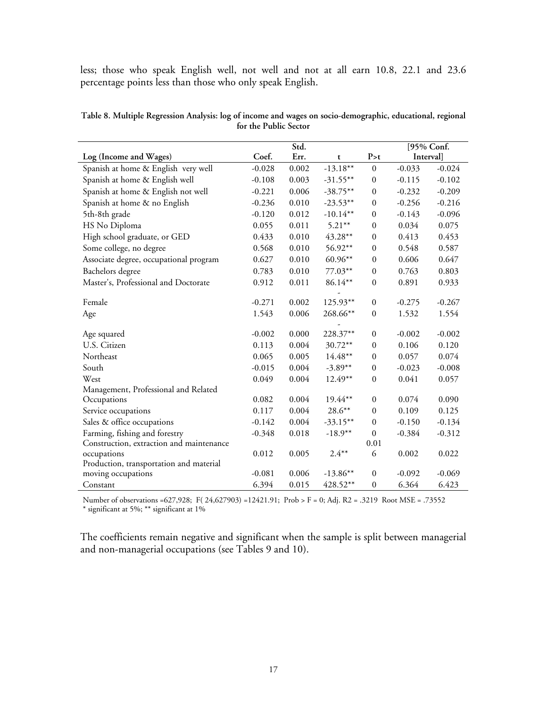less; those who speak English well, not well and not at all earn 10.8, 22.1 and 23.6 percentage points less than those who only speak English.

| Table 8. Multiple Regression Analysis: log of income and wages on socio-demographic, educational, regional |  |
|------------------------------------------------------------------------------------------------------------|--|
| for the Public Sector                                                                                      |  |
|                                                                                                            |  |

|                                          |          | Std.  |             |                  |          | [95% Conf. |
|------------------------------------------|----------|-------|-------------|------------------|----------|------------|
| Log (Income and Wages)                   | Coef.    | Err.  | t           | P > t            |          | Interval]  |
| Spanish at home & English very well      | $-0.028$ | 0.002 | $-13.18**$  | $\boldsymbol{0}$ | $-0.033$ | $-0.024$   |
| Spanish at home & English well           | $-0.108$ | 0.003 | $-31.55***$ | $\boldsymbol{0}$ | $-0.115$ | $-0.102$   |
| Spanish at home & English not well       | $-0.221$ | 0.006 | $-38.75**$  | $\mathbf{0}$     | $-0.232$ | $-0.209$   |
| Spanish at home & no English             | $-0.236$ | 0.010 | $-23.53**$  | $\mathbf{0}$     | $-0.256$ | $-0.216$   |
| 5th-8th grade                            | $-0.120$ | 0.012 | $-10.14**$  | $\boldsymbol{0}$ | $-0.143$ | $-0.096$   |
| HS No Diploma                            | 0.055    | 0.011 | $5.21***$   | $\boldsymbol{0}$ | 0.034    | 0.075      |
| High school graduate, or GED             | 0.433    | 0.010 | 43.28**     | $\mathbf{0}$     | 0.413    | 0.453      |
| Some college, no degree                  | 0.568    | 0.010 | 56.92**     | $\mathbf{0}$     | 0.548    | 0.587      |
| Associate degree, occupational program   | 0.627    | 0.010 | $60.96**$   | $\mathbf{0}$     | 0.606    | 0.647      |
| Bachelors degree                         | 0.783    | 0.010 | 77.03**     | $\mathbf{0}$     | 0.763    | 0.803      |
| Master's, Professional and Doctorate     | 0.912    | 0.011 | 86.14**     | $\boldsymbol{0}$ | 0.891    | 0.933      |
|                                          |          |       |             |                  |          |            |
| Female                                   | $-0.271$ | 0.002 | 125.93**    | $\boldsymbol{0}$ | $-0.275$ | $-0.267$   |
| Age                                      | 1.543    | 0.006 | 268.66**    | $\boldsymbol{0}$ | 1.532    | 1.554      |
|                                          |          |       |             |                  |          |            |
| Age squared                              | $-0.002$ | 0.000 | 228.37**    | $\boldsymbol{0}$ | $-0.002$ | $-0.002$   |
| U.S. Citizen                             | 0.113    | 0.004 | 30.72**     | $\mathbf{0}$     | 0.106    | 0.120      |
| Northeast                                | 0.065    | 0.005 | $14.48**$   | $\mathbf{0}$     | 0.057    | 0.074      |
| South                                    | $-0.015$ | 0.004 | $-3.89**$   | $\mathbf{0}$     | $-0.023$ | $-0.008$   |
| West                                     | 0.049    | 0.004 | $12.49**$   | $\boldsymbol{0}$ | 0.041    | 0.057      |
| Management, Professional and Related     |          |       |             |                  |          |            |
| Occupations                              | 0.082    | 0.004 | 19.44**     | $\mathbf{0}$     | 0.074    | 0.090      |
| Service occupations                      | 0.117    | 0.004 | $28.6***$   | $\mathbf{0}$     | 0.109    | 0.125      |
| Sales & office occupations               | $-0.142$ | 0.004 | $-33.15***$ | $\mathbf{0}$     | $-0.150$ | $-0.134$   |
| Farming, fishing and forestry            | $-0.348$ | 0.018 | $-18.9**$   | $\mathbf{0}$     | $-0.384$ | $-0.312$   |
| Construction, extraction and maintenance |          |       |             | 0.01             |          |            |
| occupations                              | 0.012    | 0.005 | $2.4***$    | 6                | 0.002    | 0.022      |
| Production, transportation and material  |          |       |             |                  |          |            |
| moving occupations                       | $-0.081$ | 0.006 | $-13.86**$  | $\mathbf{0}$     | $-0.092$ | $-0.069$   |
| Constant                                 | 6.394    | 0.015 | 428.52**    | $\boldsymbol{0}$ | 6.364    | 6.423      |

Number of observations =627,928; F( 24,627903) =12421.91; Prob > F = 0; Adj. R2 = .3219 Root MSE = .73552

\* significant at 5%; \*\* significant at 1%

The coefficients remain negative and significant when the sample is split between managerial and non-managerial occupations (see Tables 9 and 10).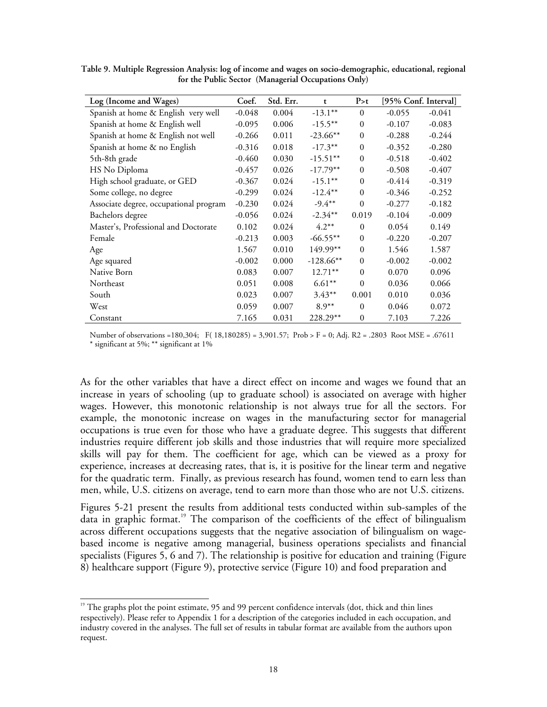| Log (Income and Wages)                 | Coef.    | Std. Err. | t           | P > t        |          | [95% Conf. Interval] |
|----------------------------------------|----------|-----------|-------------|--------------|----------|----------------------|
| Spanish at home & English very well    | $-0.048$ | 0.004     | $-13.1***$  | $\theta$     | $-0.055$ | $-0.041$             |
| Spanish at home & English well         | $-0.095$ | 0.006     | $-15.5***$  | $\mathbf{0}$ | $-0.107$ | $-0.083$             |
| Spanish at home & English not well     | $-0.266$ | 0.011     | $-23.66**$  | $\mathbf{0}$ | $-0.288$ | $-0.244$             |
| Spanish at home & no English           | $-0.316$ | 0.018     | $-17.3***$  | $\mathbf{0}$ | $-0.352$ | $-0.280$             |
| 5th-8th grade                          | $-0.460$ | 0.030     | $-15.51***$ | $\mathbf{0}$ | $-0.518$ | $-0.402$             |
| HS No Diploma                          | $-0.457$ | 0.026     | $-17.79**$  | $\mathbf{0}$ | $-0.508$ | $-0.407$             |
| High school graduate, or GED           | $-0.367$ | 0.024     | $-15.1***$  | $\Omega$     | $-0.414$ | $-0.319$             |
| Some college, no degree                | $-0.299$ | 0.024     | $-12.4***$  | $\Omega$     | $-0.346$ | $-0.252$             |
| Associate degree, occupational program | $-0.230$ | 0.024     | $-9.4***$   | $\theta$     | $-0.277$ | $-0.182$             |
| Bachelors degree                       | $-0.056$ | 0.024     | $-2.34**$   | 0.019        | $-0.104$ | $-0.009$             |
| Master's, Professional and Doctorate   | 0.102    | 0.024     | $4.2**$     | $\Omega$     | 0.054    | 0.149                |
| Female                                 | $-0.213$ | 0.003     | $-66.55***$ | $\mathbf{0}$ | $-0.220$ | $-0.207$             |
| Age                                    | 1.567    | 0.010     | 149.99**    | $\Omega$     | 1.546    | 1.587                |
| Age squared                            | $-0.002$ | 0.000     | $-128.66**$ | $\Omega$     | $-0.002$ | $-0.002$             |
| Native Born                            | 0.083    | 0.007     | $12.71***$  | $\mathbf{0}$ | 0.070    | 0.096                |
| Northeast                              | 0.051    | 0.008     | $6.61**$    | $\theta$     | 0.036    | 0.066                |
| South                                  | 0.023    | 0.007     | $3.43**$    | 0.001        | 0.010    | 0.036                |
| West                                   | 0.059    | 0.007     | $8.9**$     | $\mathbf{0}$ | 0.046    | 0.072                |
| Constant                               | 7.165    | 0.031     | 228.29**    | $\mathbf{0}$ | 7.103    | 7.226                |

**Table 9. Multiple Regression Analysis: log of income and wages on socio-demographic, educational, regional for the Public Sector (Managerial Occupations Only)** 

Number of observations =180,304; F( 18,180285) = 3,901.57; Prob > F = 0; Adj. R2 = .2803 Root MSE = .67611 \* significant at 5%; \*\* significant at 1%

As for the other variables that have a direct effect on income and wages we found that an increase in years of schooling (up to graduate school) is associated on average with higher wages. However, this monotonic relationship is not always true for all the sectors. For example, the monotonic increase on wages in the manufacturing sector for managerial occupations is true even for those who have a graduate degree. This suggests that different industries require different job skills and those industries that will require more specialized skills will pay for them. The coefficient for age, which can be viewed as a proxy for experience, increases at decreasing rates, that is, it is positive for the linear term and negative for the quadratic term. Finally, as previous research has found, women tend to earn less than men, while, U.S. citizens on average, tend to earn more than those who are not U.S. citizens.

Figures 5-21 present the results from additional tests conducted within sub-samples of the data in graphic format.<sup>19</sup> The comparison of the coefficients of the effect of bilingualism across different occupations suggests that the negative association of bilingualism on wagebased income is negative among managerial, business operations specialists and financial specialists (Figures 5, 6 and 7). The relationship is positive for education and training (Figure 8) healthcare support (Figure 9), protective service (Figure 10) and food preparation and

 $\overline{a}$ 

<sup>&</sup>lt;sup>19</sup> The graphs plot the point estimate, 95 and 99 percent confidence intervals (dot, thick and thin lines respectively). Please refer to Appendix 1 for a description of the categories included in each occupation, and industry covered in the analyses. The full set of results in tabular format are available from the authors upon request.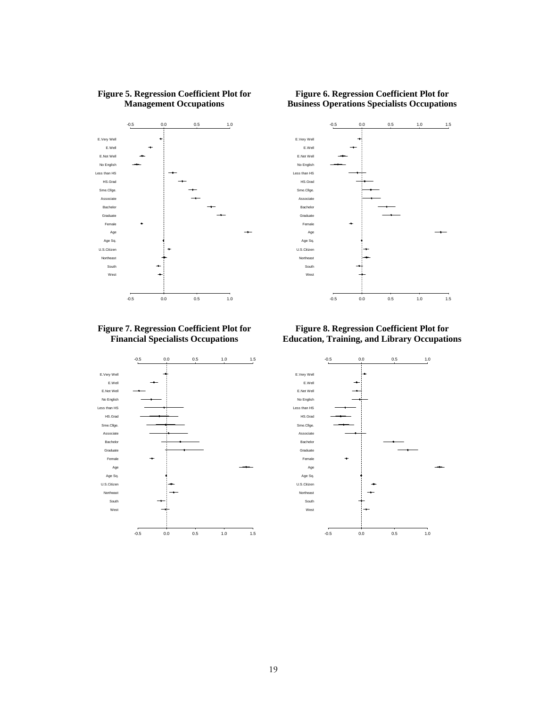

### **Figure 5. Regression Coefficient Plot for Management Occupations**

### **Figure 6. Regression Coefficient Plot for Business Operations Specialists Occupations**



### **Figure 7. Regression Coefficient Plot for Financial Specialists Occupations**



**Figure 8. Regression Coefficient Plot for Education, Training, and Library Occupations** 

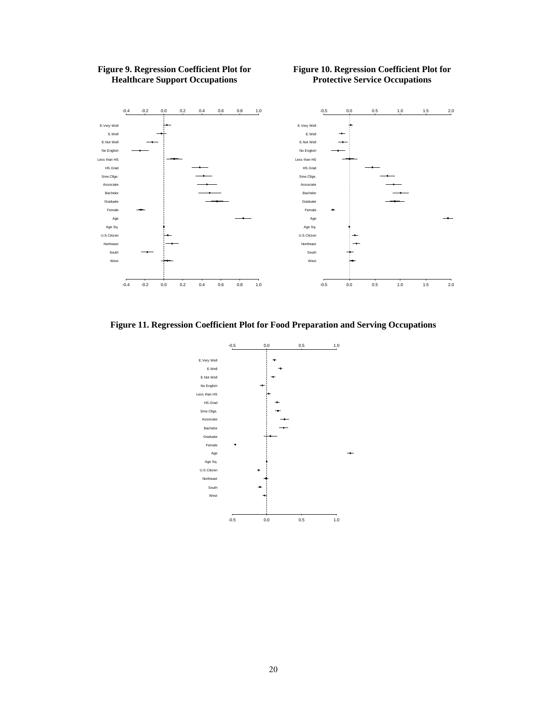

### **Figure 9. Regression Coefficient Plot for Healthcare Support Occupations**

### **Figure 10. Regression Coefficient Plot for Protective Service Occupations**

**Figure 11. Regression Coefficient Plot for Food Preparation and Serving Occupations** 

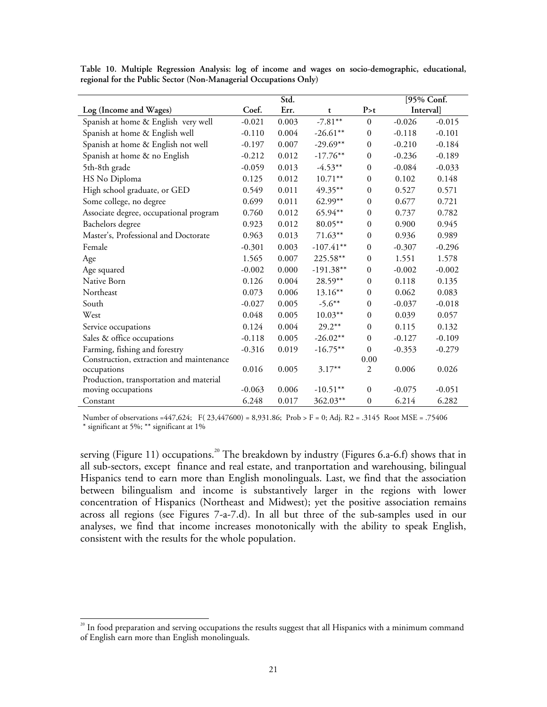|                                          |          | Std.  |             |                  | [95% Conf. |          |
|------------------------------------------|----------|-------|-------------|------------------|------------|----------|
| Log (Income and Wages)                   | Coef.    | Err.  | t           | P > t            | Interval]  |          |
| Spanish at home & English very well      | $-0.021$ | 0.003 | $-7.81**$   | $\Omega$         | $-0.026$   | $-0.015$ |
| Spanish at home & English well           | $-0.110$ | 0.004 | $-26.61**$  | $\mathbf{0}$     | $-0.118$   | $-0.101$ |
| Spanish at home & English not well       | $-0.197$ | 0.007 | $-29.69**$  | $\mathbf{0}$     | $-0.210$   | $-0.184$ |
| Spanish at home & no English             | $-0.212$ | 0.012 | $-17.76**$  | $\mathbf{0}$     | $-0.236$   | $-0.189$ |
| 5th-8th grade                            | $-0.059$ | 0.013 | $-4.53**$   | $\mathbf{0}$     | $-0.084$   | $-0.033$ |
| HS No Diploma                            | 0.125    | 0.012 | $10.71***$  | $\mathbf{0}$     | 0.102      | 0.148    |
| High school graduate, or GED             | 0.549    | 0.011 | 49.35**     | $\mathbf{0}$     | 0.527      | 0.571    |
| Some college, no degree                  | 0.699    | 0.011 | $62.99**$   | $\mathbf{0}$     | 0.677      | 0.721    |
| Associate degree, occupational program   | 0.760    | 0.012 | 65.94**     | $\theta$         | 0.737      | 0.782    |
| Bachelors degree                         | 0.923    | 0.012 | 80.05**     | $\mathbf{0}$     | 0.900      | 0.945    |
| Master's, Professional and Doctorate     | 0.963    | 0.013 | $71.63**$   | $\boldsymbol{0}$ | 0.936      | 0.989    |
| Female                                   | $-0.301$ | 0.003 | $-107.41**$ | $\mathbf{0}$     | $-0.307$   | $-0.296$ |
| Age                                      | 1.565    | 0.007 | 225.58**    | $\mathbf{0}$     | 1.551      | 1.578    |
| Age squared                              | $-0.002$ | 0.000 | $-191.38**$ | $\mathbf{0}$     | $-0.002$   | $-0.002$ |
| Native Born                              | 0.126    | 0.004 | 28.59**     | $\mathbf{0}$     | 0.118      | 0.135    |
| Northeast                                | 0.073    | 0.006 | $13.16**$   | $\mathbf{0}$     | 0.062      | 0.083    |
| South                                    | $-0.027$ | 0.005 | $-5.6***$   | $\mathbf{0}$     | $-0.037$   | $-0.018$ |
| West                                     | 0.048    | 0.005 | $10.03**$   | $\mathbf{0}$     | 0.039      | 0.057    |
| Service occupations                      | 0.124    | 0.004 | $29.2**$    | $\mathbf{0}$     | 0.115      | 0.132    |
| Sales & office occupations               | $-0.118$ | 0.005 | $-26.02**$  | $\mathbf{0}$     | $-0.127$   | $-0.109$ |
| Farming, fishing and forestry            | $-0.316$ | 0.019 | $-16.75***$ | $\theta$         | $-0.353$   | $-0.279$ |
| Construction, extraction and maintenance |          |       |             | 0.00             |            |          |
| occupations                              | 0.016    | 0.005 | $3.17**$    | $\overline{2}$   | 0.006      | 0.026    |
| Production, transportation and material  |          |       |             |                  |            |          |
| moving occupations                       | $-0.063$ | 0.006 | $-10.51**$  | $\mathbf{0}$     | $-0.075$   | $-0.051$ |
| Constant                                 | 6.248    | 0.017 | 362.03**    | $\boldsymbol{0}$ | 6.214      | 6.282    |

**Table 10. Multiple Regression Analysis: log of income and wages on socio-demographic, educational, regional for the Public Sector (Non-Managerial Occupations Only)** 

Number of observations =447,624; F( 23,447600) = 8,931.86; Prob > F = 0; Adj. R2 = .3145 Root MSE = .75406 \* significant at 5%; \*\* significant at 1%

serving (Figure 11) occupations.<sup>20</sup> The breakdown by industry (Figures 6.a-6.f) shows that in all sub-sectors, except finance and real estate, and tranportation and warehousing, bilingual Hispanics tend to earn more than English monolinguals. Last, we find that the association between bilingualism and income is substantively larger in the regions with lower concentration of Hispanics (Northeast and Midwest); yet the positive association remains across all regions (see Figures 7-a-7.d). In all but three of the sub-samples used in our analyses, we find that income increases monotonically with the ability to speak English, consistent with the results for the whole population.

 $\overline{a}$ 

 $20$  In food preparation and serving occupations the results suggest that all Hispanics with a minimum command of English earn more than English monolinguals.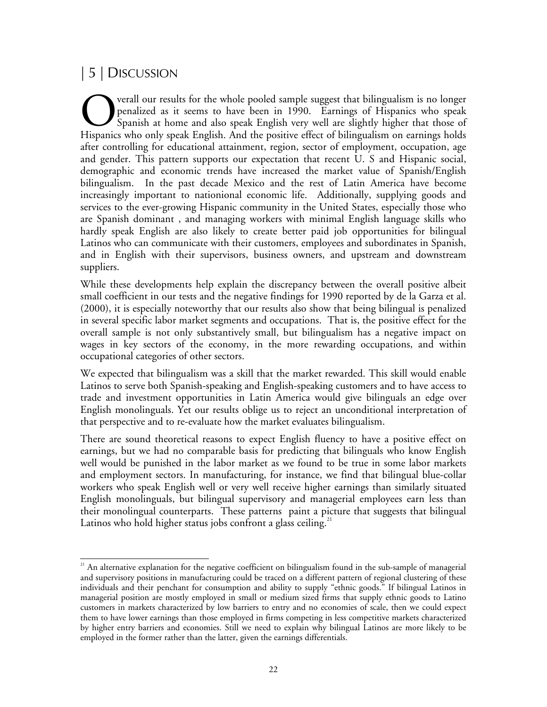# | 5 | DISCUSSION

 $\overline{a}$ 

verall our results for the whole pooled sample suggest that bilingualism is no longer penalized as it seems to have been in 1990. Earnings of Hispanics who speak Spanish at home and also speak English very well are slightly higher that those of **COM** verall our results for the whole pooled sample suggest that bilingualism is no longer penalized as it seems to have been in 1990. Earnings of Hispanics who speak Spanish at home and also speak English very well are s after controlling for educational attainment, region, sector of employment, occupation, age and gender. This pattern supports our expectation that recent U. S and Hispanic social, demographic and economic trends have increased the market value of Spanish/English bilingualism. In the past decade Mexico and the rest of Latin America have become increasingly important to nationional economic life. Additionally, supplying goods and services to the ever-growing Hispanic community in the United States, especially those who are Spanish dominant , and managing workers with minimal English language skills who hardly speak English are also likely to create better paid job opportunities for bilingual Latinos who can communicate with their customers, employees and subordinates in Spanish, and in English with their supervisors, business owners, and upstream and downstream suppliers.

While these developments help explain the discrepancy between the overall positive albeit small coefficient in our tests and the negative findings for 1990 reported by de la Garza et al. (2000), it is especially noteworthy that our results also show that being bilingual is penalized in several specific labor market segments and occupations. That is, the positive effect for the overall sample is not only substantively small, but bilingualism has a negative impact on wages in key sectors of the economy, in the more rewarding occupations, and within occupational categories of other sectors.

We expected that bilingualism was a skill that the market rewarded. This skill would enable Latinos to serve both Spanish-speaking and English-speaking customers and to have access to trade and investment opportunities in Latin America would give bilinguals an edge over English monolinguals. Yet our results oblige us to reject an unconditional interpretation of that perspective and to re-evaluate how the market evaluates bilingualism.

There are sound theoretical reasons to expect English fluency to have a positive effect on earnings, but we had no comparable basis for predicting that bilinguals who know English well would be punished in the labor market as we found to be true in some labor markets and employment sectors. In manufacturing, for instance, we find that bilingual blue-collar workers who speak English well or very well receive higher earnings than similarly situated English monolinguals, but bilingual supervisory and managerial employees earn less than their monolingual counterparts. These patterns paint a picture that suggests that bilingual Latinos who hold higher status jobs confront a glass ceiling.<sup>21</sup>

<sup>&</sup>lt;sup>21</sup> An alternative explanation for the negative coefficient on bilingualism found in the sub-sample of managerial and supervisory positions in manufacturing could be traced on a different pattern of regional clustering of these individuals and their penchant for consumption and ability to supply "ethnic goods." If bilingual Latinos in managerial position are mostly employed in small or medium sized firms that supply ethnic goods to Latino customers in markets characterized by low barriers to entry and no economies of scale, then we could expect them to have lower earnings than those employed in firms competing in less competitive markets characterized by higher entry barriers and economies. Still we need to explain why bilingual Latinos are more likely to be employed in the former rather than the latter, given the earnings differentials.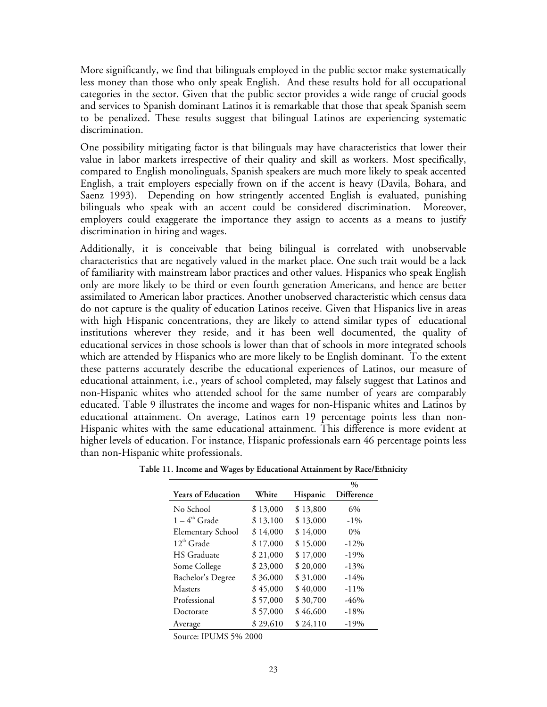More significantly, we find that bilinguals employed in the public sector make systematically less money than those who only speak English. And these results hold for all occupational categories in the sector. Given that the public sector provides a wide range of crucial goods and services to Spanish dominant Latinos it is remarkable that those that speak Spanish seem to be penalized. These results suggest that bilingual Latinos are experiencing systematic discrimination.

One possibility mitigating factor is that bilinguals may have characteristics that lower their value in labor markets irrespective of their quality and skill as workers. Most specifically, compared to English monolinguals, Spanish speakers are much more likely to speak accented English, a trait employers especially frown on if the accent is heavy (Davila, Bohara, and Saenz 1993). Depending on how stringently accented English is evaluated, punishing bilinguals who speak with an accent could be considered discrimination. Moreover, employers could exaggerate the importance they assign to accents as a means to justify discrimination in hiring and wages.

Additionally, it is conceivable that being bilingual is correlated with unobservable characteristics that are negatively valued in the market place. One such trait would be a lack of familiarity with mainstream labor practices and other values. Hispanics who speak English only are more likely to be third or even fourth generation Americans, and hence are better assimilated to American labor practices. Another unobserved characteristic which census data do not capture is the quality of education Latinos receive. Given that Hispanics live in areas with high Hispanic concentrations, they are likely to attend similar types of educational institutions wherever they reside, and it has been well documented, the quality of educational services in those schools is lower than that of schools in more integrated schools which are attended by Hispanics who are more likely to be English dominant. To the extent these patterns accurately describe the educational experiences of Latinos, our measure of educational attainment, i.e., years of school completed, may falsely suggest that Latinos and non-Hispanic whites who attended school for the same number of years are comparably educated. Table 9 illustrates the income and wages for non-Hispanic whites and Latinos by educational attainment. On average, Latinos earn 19 percentage points less than non-Hispanic whites with the same educational attainment. This difference is more evident at higher levels of education. For instance, Hispanic professionals earn 46 percentage points less than non-Hispanic white professionals.

|                           |          |          | $\frac{0}{0}$     |
|---------------------------|----------|----------|-------------------|
| <b>Years of Education</b> | White    | Hispanic | <b>Difference</b> |
| No School                 | \$13,000 | \$13,800 | 6%                |
| $1-4^{\text{th}}$ Grade   | \$13,100 | \$13,000 | $-1\%$            |
| <b>Elementary School</b>  | \$14,000 | \$14,000 | $0\%$             |
| $12^{\text{th}}$ Grade    | \$17,000 | \$15,000 | $-12%$            |
| <b>HS</b> Graduate        | \$21,000 | \$17,000 | $-19%$            |
| Some College              | \$23,000 | \$20,000 | $-13%$            |
| Bachelor's Degree         | \$36,000 | \$31,000 | $-14%$            |
| <b>Masters</b>            | \$45,000 | \$40,000 | $-11\%$           |
| Professional              | \$57,000 | \$30,700 | $-46%$            |
| Doctorate                 | \$57,000 | \$46,600 | $-18%$            |
| Average                   | \$29,610 | \$24,110 | $-19%$            |

**Table 11. Income and Wages by Educational Attainment by Race/Ethnicity**

Source: IPUMS 5% 2000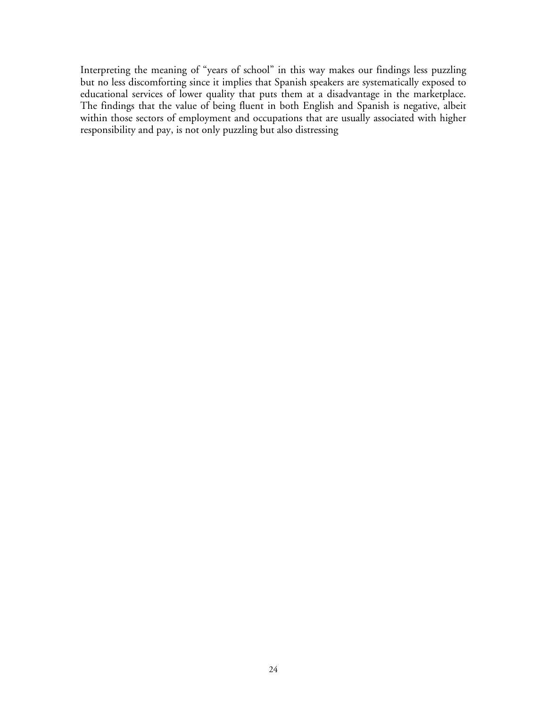Interpreting the meaning of "years of school" in this way makes our findings less puzzling but no less discomforting since it implies that Spanish speakers are systematically exposed to educational services of lower quality that puts them at a disadvantage in the marketplace. The findings that the value of being fluent in both English and Spanish is negative, albeit within those sectors of employment and occupations that are usually associated with higher responsibility and pay, is not only puzzling but also distressing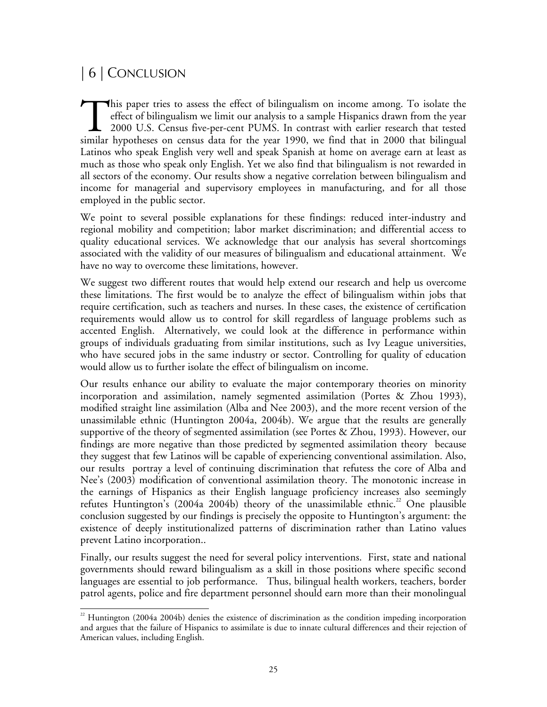# | 6 | CONCLUSION

his paper tries to assess the effect of bilingualism on income among. To isolate the effect of bilingualism we limit our analysis to a sample Hispanics drawn from the year 2000 U.S. Census five-per-cent PUMS. In contrast with earlier research that tested This paper tries to assess the effect of bilingualism on income among. To isolate the effect of bilingualism we limit our analysis to a sample Hispanics drawn from the year 2000 U.S. Census five-per-cent PUMS. In contrast Latinos who speak English very well and speak Spanish at home on average earn at least as much as those who speak only English. Yet we also find that bilingualism is not rewarded in all sectors of the economy. Our results show a negative correlation between bilingualism and income for managerial and supervisory employees in manufacturing, and for all those employed in the public sector.

We point to several possible explanations for these findings: reduced inter-industry and regional mobility and competition; labor market discrimination; and differential access to quality educational services. We acknowledge that our analysis has several shortcomings associated with the validity of our measures of bilingualism and educational attainment. We have no way to overcome these limitations, however.

We suggest two different routes that would help extend our research and help us overcome these limitations. The first would be to analyze the effect of bilingualism within jobs that require certification, such as teachers and nurses. In these cases, the existence of certification requirements would allow us to control for skill regardless of language problems such as accented English. Alternatively, we could look at the difference in performance within groups of individuals graduating from similar institutions, such as Ivy League universities, who have secured jobs in the same industry or sector. Controlling for quality of education would allow us to further isolate the effect of bilingualism on income.

Our results enhance our ability to evaluate the major contemporary theories on minority incorporation and assimilation, namely segmented assimilation (Portes & Zhou 1993), modified straight line assimilation (Alba and Nee 2003), and the more recent version of the unassimilable ethnic (Huntington 2004a, 2004b). We argue that the results are generally supportive of the theory of segmented assimilation (see Portes & Zhou, 1993). However, our findings are more negative than those predicted by segmented assimilation theory because they suggest that few Latinos will be capable of experiencing conventional assimilation. Also, our results portray a level of continuing discrimination that refutess the core of Alba and Nee's (2003) modification of conventional assimilation theory. The monotonic increase in the earnings of Hispanics as their English language proficiency increases also seemingly refutes Huntington's (2004a 2004b) theory of the unassimilable ethnic.<sup>22</sup> One plausible conclusion suggested by our findings is precisely the opposite to Huntington's argument: the existence of deeply institutionalized patterns of discrimination rather than Latino values prevent Latino incorporation..

Finally, our results suggest the need for several policy interventions. First, state and national governments should reward bilingualism as a skill in those positions where specific second languages are essential to job performance. Thus, bilingual health workers, teachers, border patrol agents, police and fire department personnel should earn more than their monolingual

 $\overline{a}$ <sup>22</sup> Huntington (2004a 2004b) denies the existence of discrimination as the condition impeding incorporation and argues that the failure of Hispanics to assimilate is due to innate cultural differences and their rejection of American values, including English.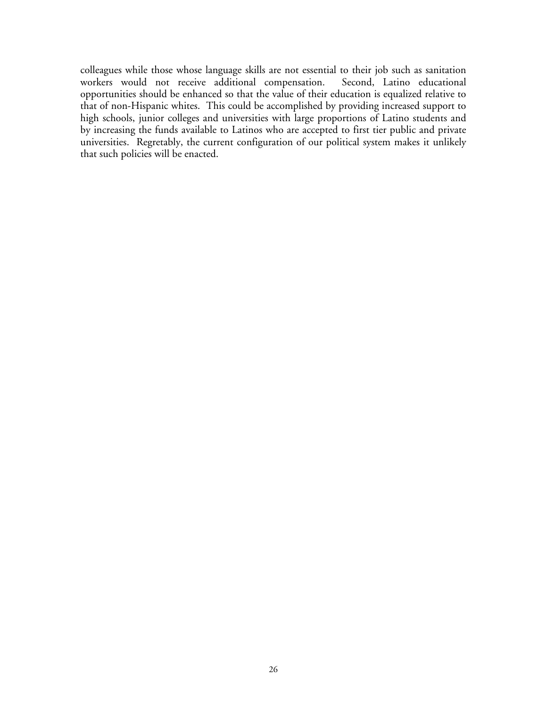colleagues while those whose language skills are not essential to their job such as sanitation workers would not receive additional compensation. opportunities should be enhanced so that the value of their education is equalized relative to that of non-Hispanic whites. This could be accomplished by providing increased support to high schools, junior colleges and universities with large proportions of Latino students and by increasing the funds available to Latinos who are accepted to first tier public and private universities. Regretably, the current configuration of our political system makes it unlikely that such policies will be enacted.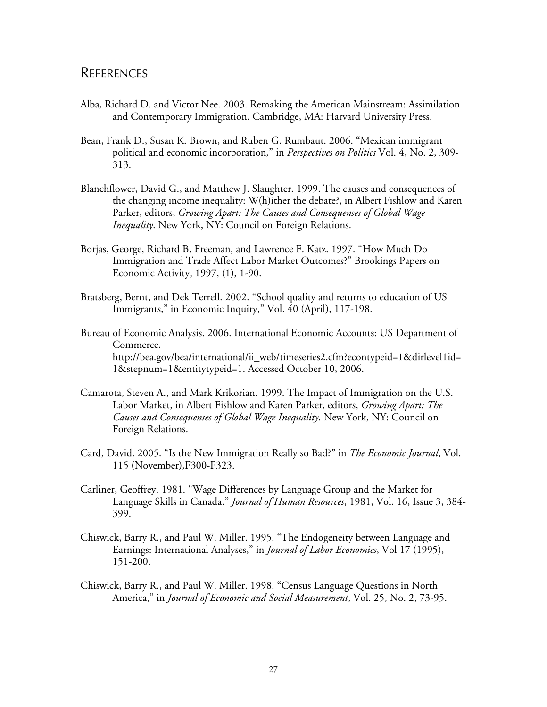### REFERENCES

- Alba, Richard D. and Victor Nee. 2003. Remaking the American Mainstream: Assimilation and Contemporary Immigration. Cambridge, MA: Harvard University Press.
- Bean, Frank D., Susan K. Brown, and Ruben G. Rumbaut. 2006. "Mexican immigrant political and economic incorporation," in *Perspectives on Politics* Vol. 4, No. 2, 309- 313.
- Blanchflower, David G., and Matthew J. Slaughter. 1999. The causes and consequences of the changing income inequality: W(h)ither the debate?, in Albert Fishlow and Karen Parker, editors, *Growing Apart: The Causes and Consequenses of Global Wage Inequality*. New York, NY: Council on Foreign Relations.
- Borjas, George, Richard B. Freeman, and Lawrence F. Katz. 1997. "How Much Do Immigration and Trade Affect Labor Market Outcomes?" Brookings Papers on Economic Activity, 1997, (1), 1-90.
- Bratsberg, Bernt, and Dek Terrell. 2002. "School quality and returns to education of US Immigrants," in Economic Inquiry," Vol. 40 (April), 117-198.
- Bureau of Economic Analysis. 2006. International Economic Accounts: US Department of Commerce. http://bea.gov/bea/international/ii\_web/timeseries2.cfm?econtypeid=1&dirlevel1id= 1&stepnum=1&entitytypeid=1. Accessed October 10, 2006.
- Camarota, Steven A., and Mark Krikorian. 1999. The Impact of Immigration on the U.S. Labor Market, in Albert Fishlow and Karen Parker, editors, *Growing Apart: The Causes and Consequenses of Global Wage Inequality*. New York, NY: Council on Foreign Relations.
- Card, David. 2005. "Is the New Immigration Really so Bad?" in *The Economic Journal*, Vol. 115 (November),F300-F323.
- Carliner, Geoffrey. 1981. "Wage Differences by Language Group and the Market for Language Skills in Canada." *Journal of Human Resources*, 1981, Vol. 16, Issue 3, 384- 399.
- Chiswick, Barry R., and Paul W. Miller. 1995. "The Endogeneity between Language and Earnings: International Analyses," in *Journal of Labor Economics*, Vol 17 (1995), 151-200.
- Chiswick, Barry R., and Paul W. Miller. 1998. "Census Language Questions in North America," in *Journal of Economic and Social Measurement*, Vol. 25, No. 2, 73-95.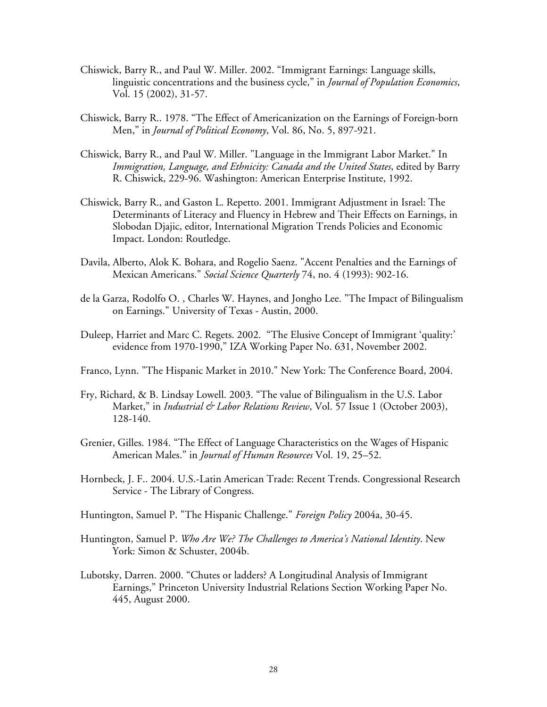- Chiswick, Barry R., and Paul W. Miller. 2002. "Immigrant Earnings: Language skills, linguistic concentrations and the business cycle," in *Journal of Population Economics*, Vol. 15 (2002), 31-57.
- Chiswick, Barry R.. 1978. "The Effect of Americanization on the Earnings of Foreign-born Men," in *Journal of Political Economy*, Vol. 86, No. 5, 897-921.
- Chiswick, Barry R., and Paul W. Miller. "Language in the Immigrant Labor Market." In *Immigration, Language, and Ethnicity: Canada and the United States*, edited by Barry R. Chiswick, 229-96. Washington: American Enterprise Institute, 1992.
- Chiswick, Barry R., and Gaston L. Repetto. 2001. Immigrant Adjustment in Israel: The Determinants of Literacy and Fluency in Hebrew and Their Effects on Earnings, in Slobodan Djajic, editor, International Migration Trends Policies and Economic Impact. London: Routledge.
- Davila, Alberto, Alok K. Bohara, and Rogelio Saenz. "Accent Penalties and the Earnings of Mexican Americans." *Social Science Quarterly* 74, no. 4 (1993): 902-16.
- de la Garza, Rodolfo O. , Charles W. Haynes, and Jongho Lee. "The Impact of Bilingualism on Earnings." University of Texas - Austin, 2000.
- Duleep, Harriet and Marc C. Regets. 2002. "The Elusive Concept of Immigrant 'quality:' evidence from 1970-1990," IZA Working Paper No. 631, November 2002.
- Franco, Lynn. "The Hispanic Market in 2010." New York: The Conference Board, 2004.
- Fry, Richard, & B. Lindsay Lowell. 2003. "The value of Bilingualism in the U.S. Labor Market," in *Industrial & Labor Relations Review*, Vol. 57 Issue 1 (October 2003), 128-140.
- Grenier, Gilles. 1984. "The Effect of Language Characteristics on the Wages of Hispanic American Males." in *Journal of Human Resources* Vol. 19, 25–52.
- Hornbeck, J. F.. 2004. U.S.-Latin American Trade: Recent Trends. Congressional Research Service - The Library of Congress.
- Huntington, Samuel P. "The Hispanic Challenge." *Foreign Policy* 2004a, 30-45.
- Huntington, Samuel P. *Who Are We? The Challenges to America's National Identity*. New York: Simon & Schuster, 2004b.
- Lubotsky, Darren. 2000. "Chutes or ladders? A Longitudinal Analysis of Immigrant Earnings," Princeton University Industrial Relations Section Working Paper No. 445, August 2000.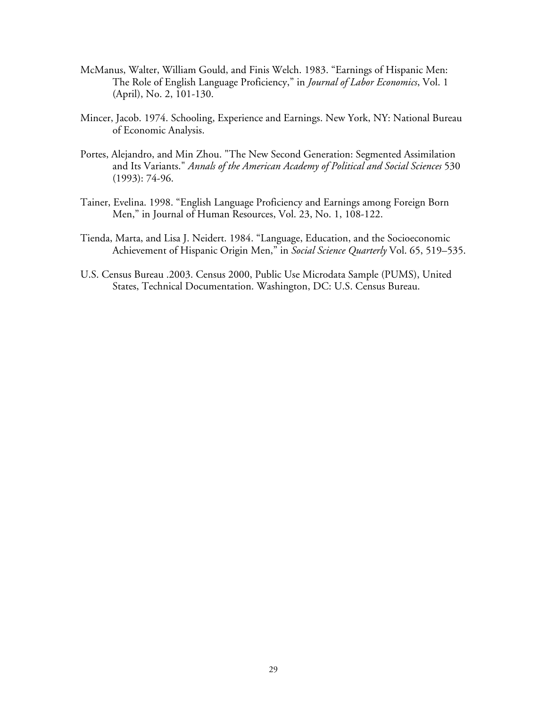- McManus, Walter, William Gould, and Finis Welch. 1983. "Earnings of Hispanic Men: The Role of English Language Proficiency," in *Journal of Labor Economics*, Vol. 1 (April), No. 2, 101-130.
- Mincer, Jacob. 1974. Schooling, Experience and Earnings. New York, NY: National Bureau of Economic Analysis.
- Portes, Alejandro, and Min Zhou. "The New Second Generation: Segmented Assimilation and Its Variants." *Annals of the American Academy of Political and Social Sciences* 530 (1993): 74-96.
- Tainer, Evelina. 1998. "English Language Proficiency and Earnings among Foreign Born Men," in Journal of Human Resources, Vol. 23, No. 1, 108-122.
- Tienda, Marta, and Lisa J. Neidert. 1984. "Language, Education, and the Socioeconomic Achievement of Hispanic Origin Men," in *Social Science Quarterly* Vol. 65, 519–535.
- U.S. Census Bureau .2003. Census 2000, Public Use Microdata Sample (PUMS), United States, Technical Documentation. Washington, DC: U.S. Census Bureau.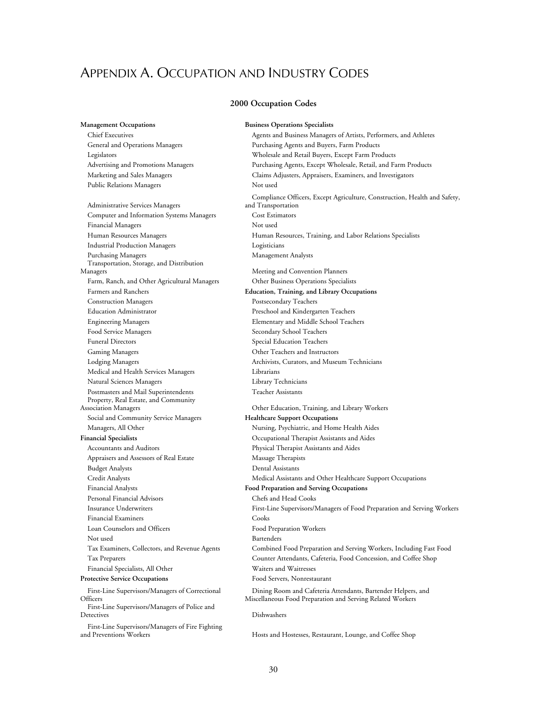## APPENDIX A. OCCUPATION AND INDUSTRY CODES

### **2000 Occupation Codes**

General and Operations Managers **Purchasing Agents and Buyers, Farm Products** Public Relations Managers Not used Administrative Services Managers Computer and Information Systems Managers Cost Estimators Financial Managers Not used Industrial Production Managers Logisticians Purchasing Managers **Management Analysts** Management Analysts Transportation, Storage, and Distribution Managers Meeting and Convention Planners Farm, Ranch, and Other Agricultural Managers Other Business Operations Specialists Farmers and Ranchers **Education, Training, and Library Occupations**  Construction Managers Postsecondary Teachers Education Administrator Preschool and Kindergarten Teachers Engineering Managers Elementary and Middle School Teachers Food Service Managers Secondary School Teachers Funeral Directors Special Education Teachers Gaming Managers Other Teachers and Instructors Lodging Managers **Archivists, Curators, and Museum Technicians** Medical and Health Services Managers Librarians Natural Sciences Managers Library Technicians Postmasters and Mail Superintendents Teacher Assistants Property, Real Estate, and Community<br>Association Managers Social and Community Service Managers **Healthcare Support Occupations** Managers, All Other Nursing, Psychiatric, and Home Health Aides **Financial Specialists** Occupational Therapist Assistants and Aides Accountants and Auditors Physical Therapist Assistants and Aides Appraisers and Assessors of Real Estate Massage Therapists Budget Analysts Dental Assistants Financial Analysts **Food Preparation and Serving Occupations**  Personal Financial Advisors Chefs and Head Cooks Financial Examiners Cooks Loan Counselors and Officers Food Preparation Workers Not used Bartenders Financial Specialists, All Other Waiters and Waitresses Protective Service Occupations **Food Servers, Nonrestaurant** First-Line Supervisors/Managers of Correctional

**Officers** First-Line Supervisors/Managers of Police and

Detectives Dishwashers

First-Line Supervisors/Managers of Fire Fighting

**Management Occupations Business Operations Specialists** Chief Executives Agents and Business Managers of Artists, Performers, and Athletes Legislators Wholesale and Retail Buyers, Except Farm Products Advertising and Promotions Managers Purchasing Agents, Except Wholesale, Retail, and Farm Products Marketing and Sales Managers Claims Adjusters, Appraisers, Examiners, and Investigators Compliance Officers, Except Agriculture, Construction, Health and Safety, and Transportation Human Resources Managers Human Resources, Training, and Labor Relations Specialists Other Education, Training, and Library Workers Credit Analysts Medical Assistants and Other Healthcare Support Occupations Insurance Underwriters First-Line Supervisors/Managers of Food Preparation and Serving Workers Tax Examiners, Collectors, and Revenue Agents Combined Food Preparation and Serving Workers, Including Fast Food Tax Preparers Counter Attendants, Cafeteria, Food Concession, and Coffee Shop Dining Room and Cafeteria Attendants, Bartender Helpers, and Miscellaneous Food Preparation and Serving Related Workers

Hosts and Hostesses, Restaurant, Lounge, and Coffee Shop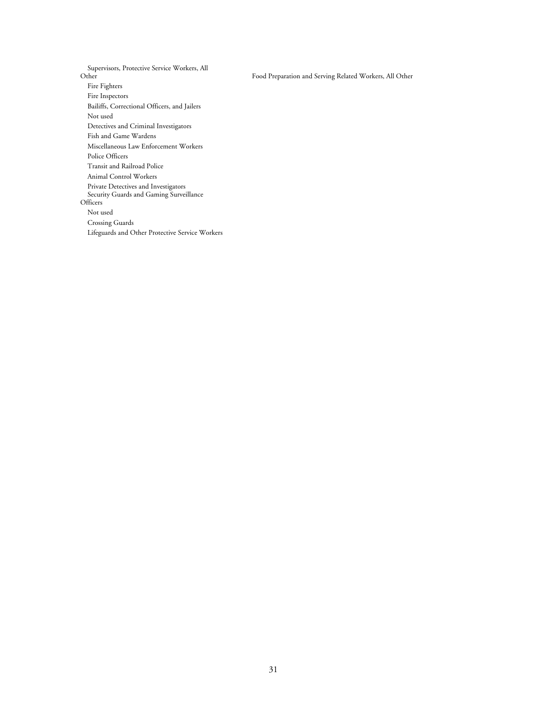Supervisors, Protective Service Workers, All Fire Fighters Fire Inspectors Bailiffs, Correctional Officers, and Jailers Not used Detectives and Criminal Investigators Fish and Game Wardens Miscellaneous Law Enforcement Workers Police Officers Transit and Railroad Police Animal Control Workers Private Detectives and Investigators Security Guards and Gaming Surveillance Officers Not used Crossing Guards Lifeguards and Other Protective Service Workers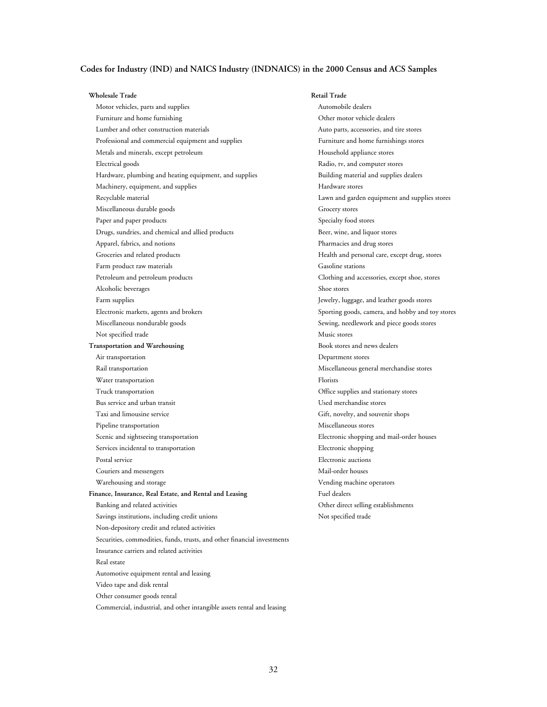### **Codes for Industry (IND) and NAICS Industry (INDNAICS) in the 2000 Census and ACS Samples**

### **Wholesale Trade Retail Trade**

Motor vehicles, parts and supplies Automobile dealers Furniture and home furnishing example of the state of the Other motor vehicle dealers Lumber and other construction materials **Automaterials** Auto parts, accessories, and tire stores Professional and commercial equipment and supplies Furniture and home furnishings stores Metals and minerals, except petroleum Household appliance stores Electrical goods Radio, tv, and computer stores Hardware, plumbing and heating equipment, and supplies Building material and supplies dealers Machinery, equipment, and supplies Hardware stores Recyclable material Lawn and garden equipment and supplies stores Miscellaneous durable goods Grocery stores Paper and paper products Specialty food stores Drugs, sundries, and chemical and allied products Beer, wine, and liquor stores Apparel, fabrics, and notions **Pharmacies** and drug stores Pharmacies and drug stores Groceries and related products Health and personal care, except drug, stores Farm product raw materials Gasoline stations Petroleum and petroleum products Clothing and accessories, except shoe, stores Alcoholic beverages Shoe stores Farm supplies Jewelry, luggage, and leather goods stores Electronic markets, agents and brokers Sporting goods, camera, and hobby and toy stores Miscellaneous nondurable goods Sewing, needlework and piece goods stores Not specified trade Music stores **Transportation and Warehousing <b>Book stores and news dealers Book stores and news dealers** Air transportation Department stores Rail transportation Miscellaneous general merchandise stores Water transportation Florists Truck transportation Office supplies and stationary stores Bus service and urban transit Used merchandise stores Taxi and limousine service Gift, novelty, and souvenir shops Pipeline transportation Miscellaneous stores Scenic and sightseeing transportation Electronic shopping and mail-order houses Services incidental to transportation extends to the Electronic shopping Postal service **Electronic auctions** Electronic auctions Couriers and messengers Mail-order houses Warehousing and storage Vending machine operators Finance, Insurance, Real Estate, and Rental and Leasing **Fuel dealers** Fuel dealers Banking and related activities Other direct selling establishments Savings institutions, including credit unions Not specified trade Non-depository credit and related activities Securities, commodities, funds, trusts, and other financial investments Insurance carriers and related activities Real estate Automotive equipment rental and leasing Video tape and disk rental Other consumer goods rental Commercial, industrial, and other intangible assets rental and leasing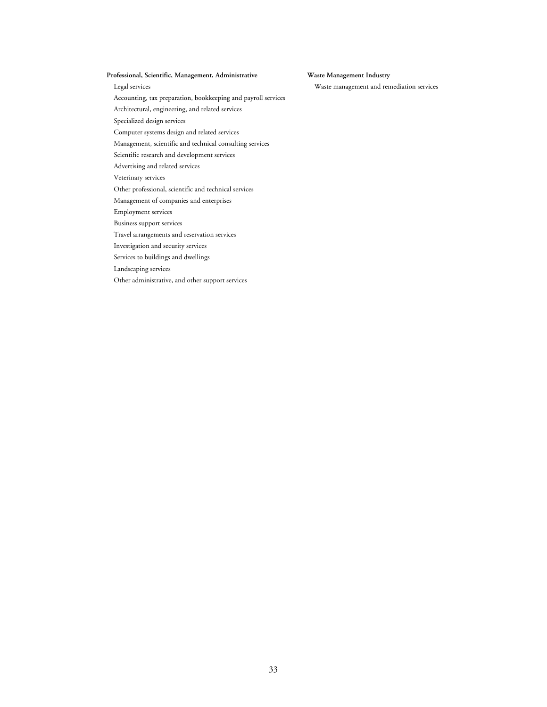### Professional, Scientific, Management, Administrative **Waste Management Industry**

Legal services Waste management and remediation services

Accounting, tax preparation, bookkeeping and payroll services Architectural, engineering, and related services Specialized design services Computer systems design and related services Management, scientific and technical consulting services Scientific research and development services Advertising and related services Veterinary services Other professional, scientific and technical services Management of companies and enterprises Employment services Business support services Travel arrangements and reservation services Investigation and security services Services to buildings and dwellings Landscaping services Other administrative, and other support services

33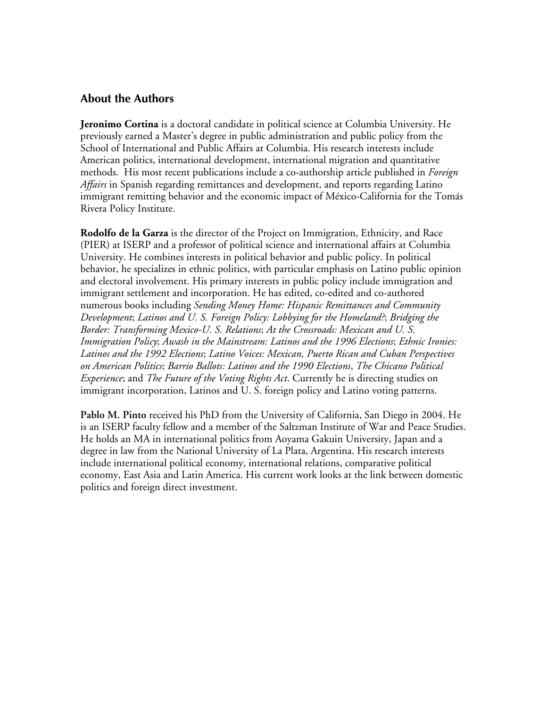### **About the Authors**

**Jeronimo Cortina** is a doctoral candidate in political science at Columbia University. He previously earned a Master's degree in public administration and public policy from the School of International and Public Affairs at Columbia. His research interests include American politics, international development, international migration and quantitative methods. His most recent publications include a co-authorship article published in *Foreign Affairs* in Spanish regarding remittances and development, and reports regarding Latino immigrant remitting behavior and the economic impact of México-California for the Tomás Rivera Policy Institute.

**Rodolfo de la Garza** is the director of the Project on Immigration, Ethnicity, and Race (PIER) at ISERP and a professor of political science and international affairs at Columbia University. He combines interests in political behavior and public policy. In political behavior, he specializes in ethnic politics, with particular emphasis on Latino public opinion and electoral involvement. His primary interests in public policy include immigration and immigrant settlement and incorporation. He has edited, co-edited and co-authored numerous books including *Sending Money Home: Hispanic Remittances and Community Development*; *Latinos and U. S. Foreign Policy: Lobbying for the Homeland?*; *Bridging the Border: Transforming Mexico-U. S. Relations*; *At the Crossroads: Mexican and U. S. Immigration Policy*; *Awash in the Mainstream: Latinos and the 1996 Elections*; *Ethnic Ironies: Latinos and the 1992 Elections*; *Latino Voices: Mexican, Puerto Rican and Cuban Perspectives on American Politics*; *Barrio Ballots: Latinos and the 1990 Elections*, *The Chicano Political Experience*; and *The Future of the Voting Rights Act*. Currently he is directing studies on immigrant incorporation, Latinos and U. S. foreign policy and Latino voting patterns.

**Pablo M. Pinto** received his PhD from the University of California, San Diego in 2004. He is an ISERP faculty fellow and a member of the Saltzman Institute of War and Peace Studies. He holds an MA in international politics from Aoyama Gakuin University, Japan and a degree in law from the National University of La Plata, Argentina. His research interests include international political economy, international relations, comparative political economy, East Asia and Latin America. His current work looks at the link between domestic politics and foreign direct investment.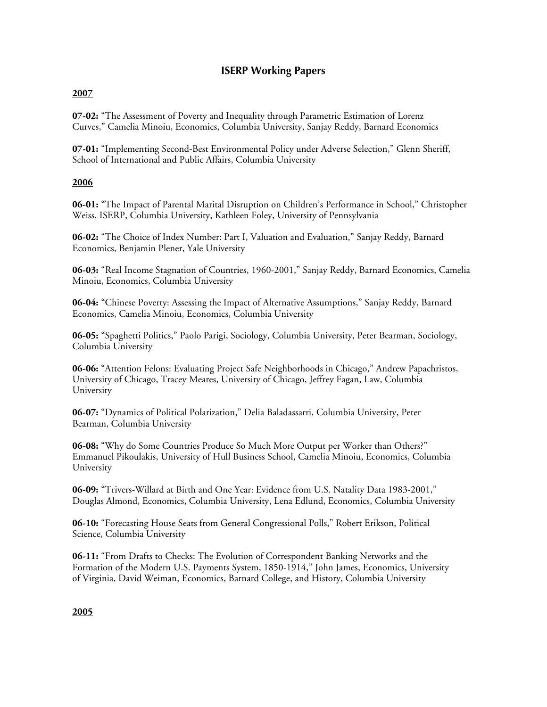### **ISERP Working Papers**

### **2007**

**07-02:** "The Assessment of Poverty and Inequality through Parametric Estimation of Lorenz Curves," Camelia Minoiu, Economics, Columbia University, Sanjay Reddy, Barnard Economics

**07-01:** "Implementing Second-Best Environmental Policy under Adverse Selection," Glenn Sheriff, School of International and Public Affairs, Columbia University

### **2006**

**06-01:** "The Impact of Parental Marital Disruption on Children's Performance in School," Christopher Weiss, ISERP, Columbia University, Kathleen Foley, University of Pennsylvania

**06-02:** "The Choice of Index Number: Part I, Valuation and Evaluation," Sanjay Reddy, Barnard Economics, Benjamin Plener, Yale University

**06-03:** "Real Income Stagnation of Countries, 1960-2001," Sanjay Reddy, Barnard Economics, Camelia Minoiu, Economics, Columbia University

**06-04:** "Chinese Poverty: Assessing the Impact of Alternative Assumptions," Sanjay Reddy, Barnard Economics, Camelia Minoiu, Economics, Columbia University

**06-05:** "Spaghetti Politics," Paolo Parigi, Sociology, Columbia University, Peter Bearman, Sociology, Columbia University

**06-06:** "Attention Felons: Evaluating Project Safe Neighborhoods in Chicago," Andrew Papachristos, University of Chicago, Tracey Meares, University of Chicago, Jeffrey Fagan, Law, Columbia University

**06-07:** "Dynamics of Political Polarization," Delia Baladassarri, Columbia University, Peter Bearman, Columbia University

**06-08:** "Why do Some Countries Produce So Much More Output per Worker than Others?" Emmanuel Pikoulakis, University of Hull Business School, Camelia Minoiu, Economics, Columbia University

**06-09:** "Trivers-Willard at Birth and One Year: Evidence from U.S. Natality Data 1983-2001," Douglas Almond, Economics, Columbia University, Lena Edlund, Economics, Columbia University

**06-10:** "Forecasting House Seats from General Congressional Polls," Robert Erikson, Political Science, Columbia University

**06-11:** "From Drafts to Checks: The Evolution of Correspondent Banking Networks and the Formation of the Modern U.S. Payments System, 1850-1914," John James, Economics, University of Virginia, David Weiman, Economics, Barnard College, and History, Columbia University

### **2005**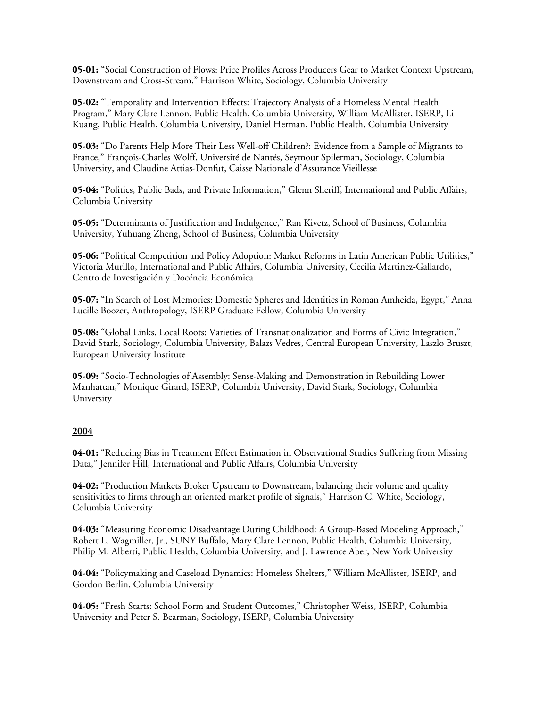**05-01:** "Social Construction of Flows: Price Profiles Across Producers Gear to Market Context Upstream, Downstream and Cross-Stream," Harrison White, Sociology, Columbia University

**05-02:** "Temporality and Intervention Effects: Trajectory Analysis of a Homeless Mental Health Program," Mary Clare Lennon, Public Health, Columbia University, William McAllister, ISERP, Li Kuang, Public Health, Columbia University, Daniel Herman, Public Health, Columbia University

**05-03:** "Do Parents Help More Their Less Well-off Children?: Evidence from a Sample of Migrants to France," François-Charles Wolff, Université de Nantés, Seymour Spilerman, Sociology, Columbia University, and Claudine Attias-Donfut, Caisse Nationale d'Assurance Vieillesse

**05-04:** "Politics, Public Bads, and Private Information," Glenn Sheriff, International and Public Affairs, Columbia University

**05-05:** "Determinants of Justification and Indulgence," Ran Kivetz, School of Business, Columbia University, Yuhuang Zheng, School of Business, Columbia University

**05-06:** "Political Competition and Policy Adoption: Market Reforms in Latin American Public Utilities," Victoria Murillo, International and Public Affairs, Columbia University, Cecilia Martinez-Gallardo, Centro de Investigación y Docéncia Económica

**05-07:** "In Search of Lost Memories: Domestic Spheres and Identities in Roman Amheida, Egypt," Anna Lucille Boozer, Anthropology, ISERP Graduate Fellow, Columbia University

**05-08:** "Global Links, Local Roots: Varieties of Transnationalization and Forms of Civic Integration," David Stark, Sociology, Columbia University, Balazs Vedres, Central European University, Laszlo Bruszt, European University Institute

**05-09:** "Socio-Technologies of Assembly: Sense-Making and Demonstration in Rebuilding Lower Manhattan," Monique Girard, ISERP, Columbia University, David Stark, Sociology, Columbia University

### **2004**

**04-01:** "Reducing Bias in Treatment Effect Estimation in Observational Studies Suffering from Missing Data," Jennifer Hill, International and Public Affairs, Columbia University

**04-02:** "Production Markets Broker Upstream to Downstream, balancing their volume and quality sensitivities to firms through an oriented market profile of signals," Harrison C. White, Sociology, Columbia University

**04-03:** "Measuring Economic Disadvantage During Childhood: A Group-Based Modeling Approach," Robert L. Wagmiller, Jr., SUNY Buffalo, Mary Clare Lennon, Public Health, Columbia University, Philip M. Alberti, Public Health, Columbia University, and J. Lawrence Aber, New York University

**04-04:** "Policymaking and Caseload Dynamics: Homeless Shelters," William McAllister, ISERP, and Gordon Berlin, Columbia University

**04-05:** "Fresh Starts: School Form and Student Outcomes," Christopher Weiss, ISERP, Columbia University and Peter S. Bearman, Sociology, ISERP, Columbia University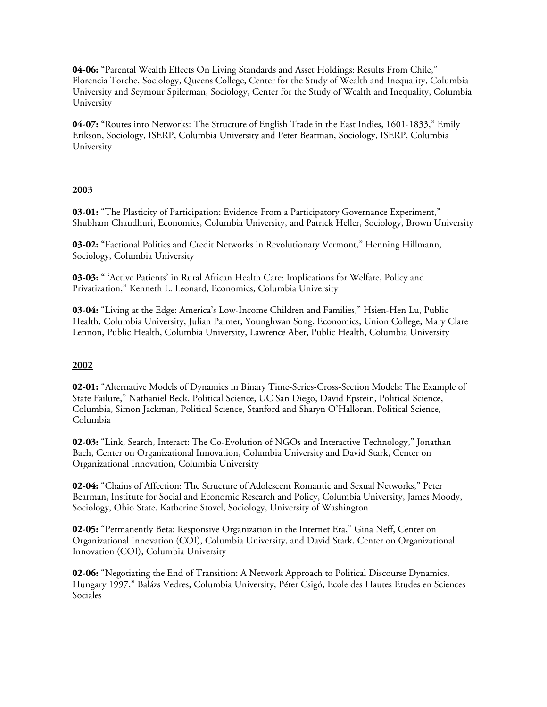**04-06:** "Parental Wealth Effects On Living Standards and Asset Holdings: Results From Chile," Florencia Torche, Sociology, Queens College, Center for the Study of Wealth and Inequality, Columbia University and Seymour Spilerman, Sociology, Center for the Study of Wealth and Inequality, Columbia University

**04-07:** "Routes into Networks: The Structure of English Trade in the East Indies, 1601-1833," Emily Erikson, Sociology, ISERP, Columbia University and Peter Bearman, Sociology, ISERP, Columbia University

### **2003**

**03-01:** "The Plasticity of Participation: Evidence From a Participatory Governance Experiment," Shubham Chaudhuri, Economics, Columbia University, and Patrick Heller, Sociology, Brown University

**03-02:** "Factional Politics and Credit Networks in Revolutionary Vermont," Henning Hillmann, Sociology, Columbia University

**03-03:** " 'Active Patients' in Rural African Health Care: Implications for Welfare, Policy and Privatization," Kenneth L. Leonard, Economics, Columbia University

**03-04:** "Living at the Edge: America's Low-Income Children and Families," Hsien-Hen Lu, Public Health, Columbia University, Julian Palmer, Younghwan Song, Economics, Union College, Mary Clare Lennon, Public Health, Columbia University, Lawrence Aber, Public Health, Columbia University

### **2002**

**02-01:** "Alternative Models of Dynamics in Binary Time-Series-Cross-Section Models: The Example of State Failure," Nathaniel Beck, Political Science, UC San Diego, David Epstein, Political Science, Columbia, Simon Jackman, Political Science, Stanford and Sharyn O'Halloran, Political Science, Columbia

**02-03:** "Link, Search, Interact: The Co-Evolution of NGOs and Interactive Technology," Jonathan Bach, Center on Organizational Innovation, Columbia University and David Stark, Center on Organizational Innovation, Columbia University

**02-04:** "Chains of Affection: The Structure of Adolescent Romantic and Sexual Networks," Peter Bearman, Institute for Social and Economic Research and Policy, Columbia University, James Moody, Sociology, Ohio State, Katherine Stovel, Sociology, University of Washington

**02-05:** "Permanently Beta: Responsive Organization in the Internet Era," Gina Neff, Center on Organizational Innovation (COI), Columbia University, and David Stark, Center on Organizational Innovation (COI), Columbia University

**02-06:** "Negotiating the End of Transition: A Network Approach to Political Discourse Dynamics, Hungary 1997," Balázs Vedres, Columbia University, Péter Csigó, Ecole des Hautes Etudes en Sciences Sociales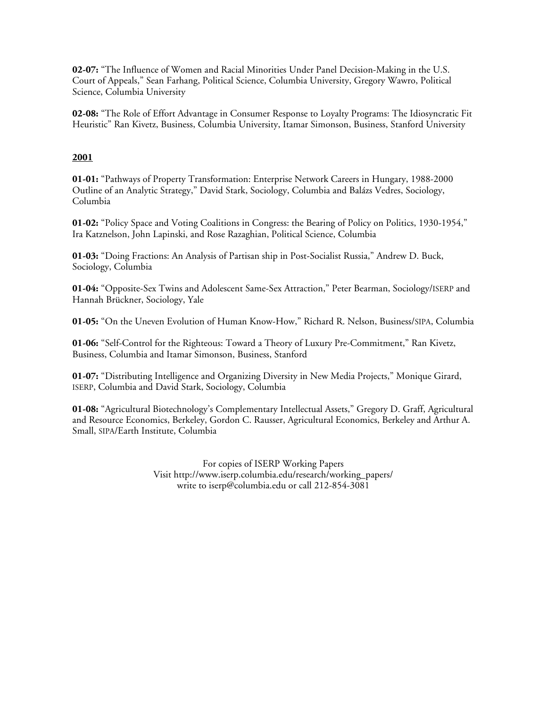**02-07:** "The Influence of Women and Racial Minorities Under Panel Decision-Making in the U.S. Court of Appeals," Sean Farhang, Political Science, Columbia University, Gregory Wawro, Political Science, Columbia University

**02-08:** "The Role of Effort Advantage in Consumer Response to Loyalty Programs: The Idiosyncratic Fit Heuristic" Ran Kivetz, Business, Columbia University, Itamar Simonson, Business, Stanford University

### **2001**

**01-01:** "Pathways of Property Transformation: Enterprise Network Careers in Hungary, 1988-2000 Outline of an Analytic Strategy," David Stark, Sociology, Columbia and Balázs Vedres, Sociology, Columbia

**01-02:** "Policy Space and Voting Coalitions in Congress: the Bearing of Policy on Politics, 1930-1954," Ira Katznelson, John Lapinski, and Rose Razaghian, Political Science, Columbia

**01-03:** "Doing Fractions: An Analysis of Partisan ship in Post-Socialist Russia," Andrew D. Buck, Sociology, Columbia

**01-04:** "Opposite-Sex Twins and Adolescent Same-Sex Attraction," Peter Bearman, Sociology/ISERP and Hannah Brückner, Sociology, Yale

**01-05:** "On the Uneven Evolution of Human Know-How," Richard R. Nelson, Business/SIPA, Columbia

**01-06:** "Self-Control for the Righteous: Toward a Theory of Luxury Pre-Commitment," Ran Kivetz, Business, Columbia and Itamar Simonson, Business, Stanford

**01-07:** "Distributing Intelligence and Organizing Diversity in New Media Projects," Monique Girard, ISERP, Columbia and David Stark, Sociology, Columbia

**01-08:** "Agricultural Biotechnology's Complementary Intellectual Assets," Gregory D. Graff, Agricultural and Resource Economics, Berkeley, Gordon C. Rausser, Agricultural Economics, Berkeley and Arthur A. Small, SIPA/Earth Institute, Columbia

> For copies of ISERP Working Papers Visit http://www.iserp.columbia.edu/research/working\_papers/ write to iserp@columbia.edu or call 212-854-3081